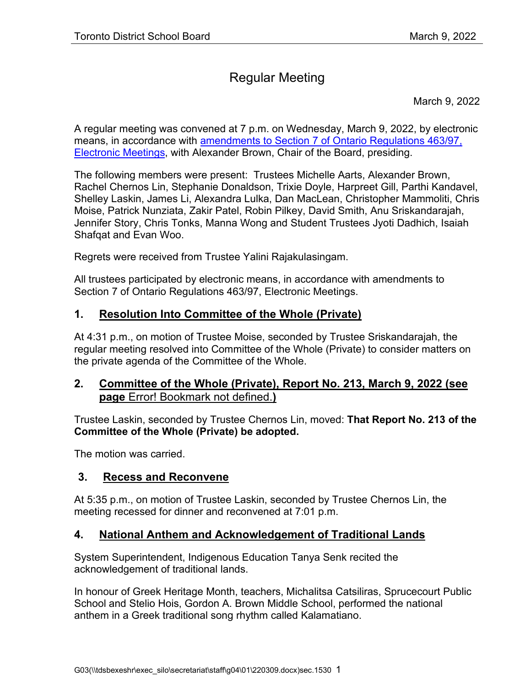# Regular Meeting

March 9, 2022

A regular meeting was convened at 7 p.m. on Wednesday, March 9, 2022, by electronic means, in accordance with [amendments to Section 7 of Ontario Regulations](https://www.ontario.ca/laws/regulation/970463) 463/97, [Electronic Meetings,](https://www.ontario.ca/laws/regulation/970463) with Alexander Brown, Chair of the Board, presiding.

The following members were present: Trustees Michelle Aarts, Alexander Brown, Rachel Chernos Lin, Stephanie Donaldson, Trixie Doyle, Harpreet Gill, Parthi Kandavel, Shelley Laskin, James Li, Alexandra Lulka, Dan MacLean, Christopher Mammoliti, Chris Moise, Patrick Nunziata, Zakir Patel, Robin Pilkey, David Smith, Anu Sriskandarajah, Jennifer Story, Chris Tonks, Manna Wong and Student Trustees Jyoti Dadhich, Isaiah Shafqat and Evan Woo.

Regrets were received from Trustee Yalini Rajakulasingam.

All trustees participated by electronic means, in accordance with amendments to Section 7 of Ontario Regulations 463/97, Electronic Meetings.

### **1. Resolution Into Committee of the Whole (Private)**

At 4:31 p.m., on motion of Trustee Moise, seconded by Trustee Sriskandarajah, the regular meeting resolved into Committee of the Whole (Private) to consider matters on the private agenda of the Committee of the Whole.

### <span id="page-0-0"></span>**2. Committee of the Whole (Private), Report No. 213, March 9, 2022 (see page** Error! Bookmark not defined.**)**

Trustee Laskin, seconded by Trustee Chernos Lin, moved: **That Report No. 213 of the Committee of the Whole (Private) be adopted.**

The motion was carried.

### **3. Recess and Reconvene**

At 5:35 p.m., on motion of Trustee Laskin, seconded by Trustee Chernos Lin, the meeting recessed for dinner and reconvened at 7:01 p.m.

# **4. National Anthem and Acknowledgement of Traditional Lands**

System Superintendent, Indigenous Education Tanya Senk recited the acknowledgement of traditional lands.

In honour of Greek Heritage Month, teachers, Michalitsa Catsiliras, Sprucecourt Public School and Stelio Hois, Gordon A. Brown Middle School, performed the national anthem in a Greek traditional song rhythm called Kalamatiano.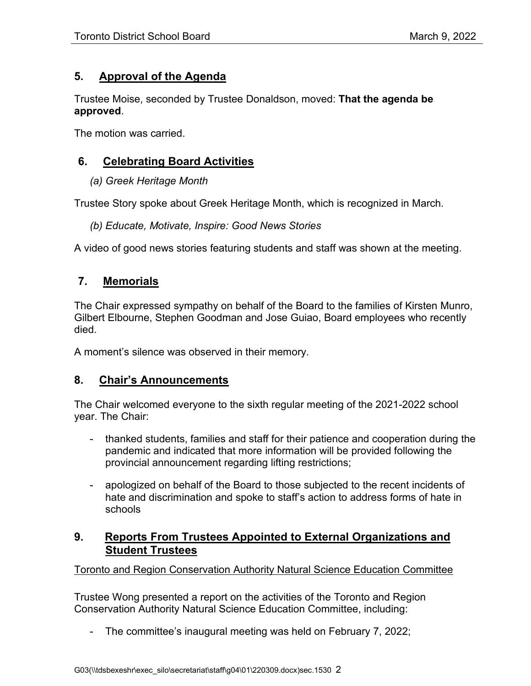### **5. Approval of the Agenda**

Trustee Moise, seconded by Trustee Donaldson, moved: **That the agenda be approved**.

The motion was carried.

# **6. Celebrating Board Activities**

*(a) Greek Heritage Month*

Trustee Story spoke about Greek Heritage Month, which is recognized in March.

### *(b) Educate, Motivate, Inspire: Good News Stories*

A video of good news stories featuring students and staff was shown at the meeting.

# **7. Memorials**

The Chair expressed sympathy on behalf of the Board to the families of Kirsten Munro, Gilbert Elbourne, Stephen Goodman and Jose Guiao, Board employees who recently died.

A moment's silence was observed in their memory.

# **8. Chair's Announcements**

The Chair welcomed everyone to the sixth regular meeting of the 2021-2022 school year. The Chair:

- thanked students, families and staff for their patience and cooperation during the pandemic and indicated that more information will be provided following the provincial announcement regarding lifting restrictions;
- apologized on behalf of the Board to those subjected to the recent incidents of hate and discrimination and spoke to staff's action to address forms of hate in schools

### **9. Reports From Trustees Appointed to External Organizations and Student Trustees**

Toronto and Region Conservation Authority Natural Science Education Committee

Trustee Wong presented a report on the activities of the Toronto and Region Conservation Authority Natural Science Education Committee, including:

- The committee's inaugural meeting was held on February 7, 2022;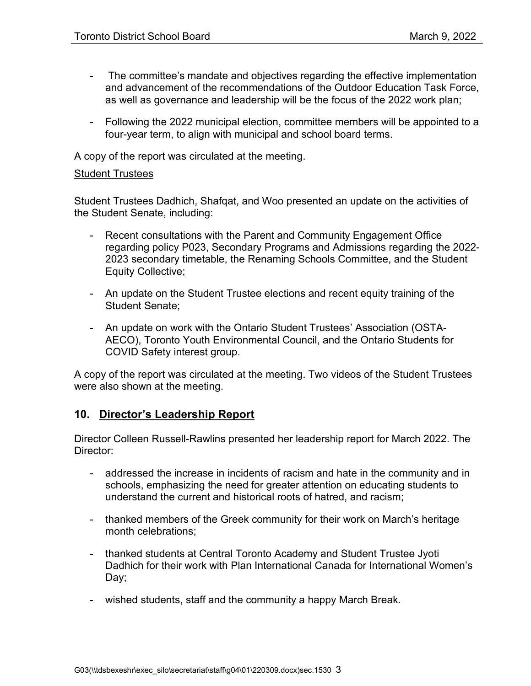- The committee's mandate and objectives regarding the effective implementation and advancement of the recommendations of the Outdoor Education Task Force, as well as governance and leadership will be the focus of the 2022 work plan;
- Following the 2022 municipal election, committee members will be appointed to a four-year term, to align with municipal and school board terms.

A copy of the report was circulated at the meeting.

#### Student Trustees

Student Trustees Dadhich, Shafqat, and Woo presented an update on the activities of the Student Senate, including:

- Recent consultations with the Parent and Community Engagement Office regarding policy P023, Secondary Programs and Admissions regarding the 2022- 2023 secondary timetable, the Renaming Schools Committee, and the Student Equity Collective;
- An update on the Student Trustee elections and recent equity training of the Student Senate;
- An update on work with the Ontario Student Trustees' Association (OSTA-AECO), Toronto Youth Environmental Council, and the Ontario Students for COVID Safety interest group.

A copy of the report was circulated at the meeting. Two videos of the Student Trustees were also shown at the meeting.

### **10. Director's Leadership Report**

Director Colleen Russell-Rawlins presented her leadership report for March 2022. The Director:

- addressed the increase in incidents of racism and hate in the community and in schools, emphasizing the need for greater attention on educating students to understand the current and historical roots of hatred, and racism;
- thanked members of the Greek community for their work on March's heritage month celebrations;
- thanked students at Central Toronto Academy and Student Trustee Jyoti Dadhich for their work with Plan International Canada for International Women's Day;
- wished students, staff and the community a happy March Break.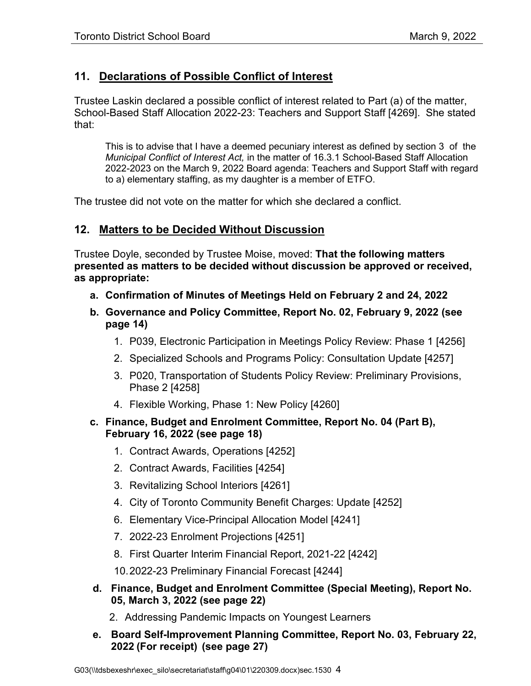# **11. Declarations of Possible Conflict of Interest**

Trustee Laskin declared a possible conflict of interest related to Part (a) of the matter, School-Based Staff Allocation 2022-23: Teachers and Support Staff [4269]. She stated that:

This is to advise that I have a deemed pecuniary interest as defined by section 3 of the *Municipal Conflict of Interest Act,* in the matter of 16.3.1 School-Based Staff Allocation 2022-2023 on the March 9, 2022 Board agenda: Teachers and Support Staff with regard to a) elementary staffing, as my daughter is a member of ETFO.

The trustee did not vote on the matter for which she declared a conflict.

### **12. Matters to be Decided Without Discussion**

Trustee Doyle, seconded by Trustee Moise, moved: **That the following matters presented as matters to be decided without discussion be approved or received, as appropriate:**

- **a. Confirmation of Minutes of Meetings Held on February 2 and 24, 2022**
- **b. Governance and Policy Committee, Report No. 02, February 9, 2022 (see page [14\)](#page-13-0)**
	- 1. P039, Electronic Participation in Meetings Policy Review: Phase 1 [4256]
	- 2. Specialized Schools and Programs Policy: Consultation Update [4257]
	- 3. P020, Transportation of Students Policy Review: Preliminary Provisions, Phase 2 [4258]
	- 4. Flexible Working, Phase 1: New Policy [4260]
- **c. Finance, Budget and Enrolment Committee, Report No. 04 (Part B), February 16, 2022 (see page [18\)](#page-17-0)**
	- 1. Contract Awards, Operations [4252]
	- 2. Contract Awards, Facilities [4254]
	- 3. Revitalizing School Interiors [4261]
	- 4. City of Toronto Community Benefit Charges: Update [4252]
	- 6. Elementary Vice-Principal Allocation Model [4241]
	- 7. 2022-23 Enrolment Projections [4251]
	- 8. First Quarter Interim Financial Report, 2021-22 [4242]
	- 10.2022-23 Preliminary Financial Forecast [4244]
- **d. Finance, Budget and Enrolment Committee (Special Meeting), Report No. 05, March 3, 2022 (see page [22\)](#page-21-0)**
	- 2. Addressing Pandemic Impacts on Youngest Learners
- **e. Board Self-Improvement Planning Committee, Report No. 03, February 22, 2022 (For receipt) (see page [27\)](#page-26-0)**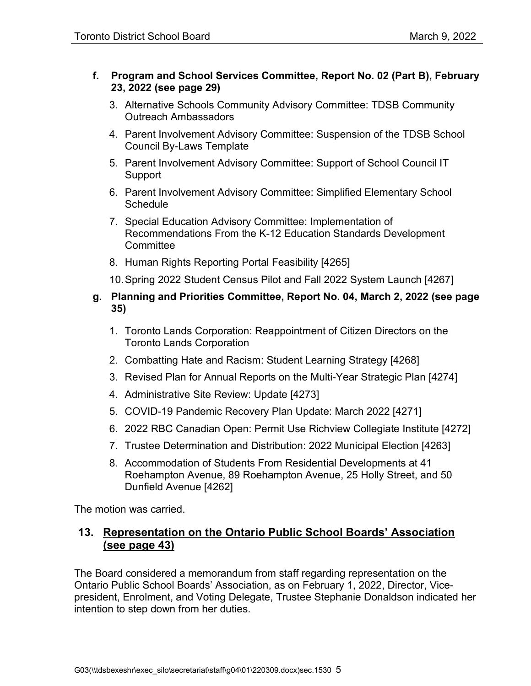#### **f. Program and School Services Committee, Report No. 02 (Part B), February 23, 2022 (see page [29\)](#page-28-0)**

- 3. Alternative Schools Community Advisory Committee: TDSB Community Outreach Ambassadors
- 4. Parent Involvement Advisory Committee: Suspension of the TDSB School Council By-Laws Template
- 5. Parent Involvement Advisory Committee: Support of School Council IT Support
- 6. Parent Involvement Advisory Committee: Simplified Elementary School **Schedule**
- 7. Special Education Advisory Committee: Implementation of Recommendations From the K-12 Education Standards Development **Committee**
- 8. Human Rights Reporting Portal Feasibility [4265]
- 10.Spring 2022 Student Census Pilot and Fall 2022 System Launch [4267]
- **g. Planning and Priorities Committee, Report No. 04, March 2, 2022 (see page [35\)](#page-34-0)**
	- 1. Toronto Lands Corporation: Reappointment of Citizen Directors on the Toronto Lands Corporation
	- 2. Combatting Hate and Racism: Student Learning Strategy [4268]
	- 3. Revised Plan for Annual Reports on the Multi-Year Strategic Plan [4274]
	- 4. Administrative Site Review: Update [4273]
	- 5. COVID-19 Pandemic Recovery Plan Update: March 2022 [4271]
	- 6. 2022 RBC Canadian Open: Permit Use Richview Collegiate Institute [4272]
	- 7. Trustee Determination and Distribution: 2022 Municipal Election [4263]
	- 8. Accommodation of Students From Residential Developments at 41 Roehampton Avenue, 89 Roehampton Avenue, 25 Holly Street, and 50 Dunfield Avenue [4262]

The motion was carried.

### **13. Representation on the Ontario Public School Boards' Association (see page [43\)](#page-42-0)**

The Board considered a memorandum from staff regarding representation on the Ontario Public School Boards' Association, as on February 1, 2022, Director, Vicepresident, Enrolment, and Voting Delegate, Trustee Stephanie Donaldson indicated her intention to step down from her duties.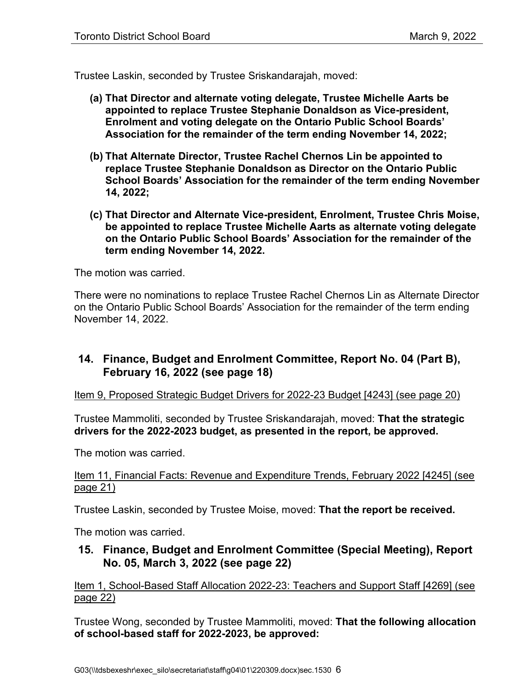Trustee Laskin, seconded by Trustee Sriskandarajah, moved:

- **(a) That Director and alternate voting delegate, Trustee Michelle Aarts be appointed to replace Trustee Stephanie Donaldson as Vice-president, Enrolment and voting delegate on the Ontario Public School Boards' Association for the remainder of the term ending November 14, 2022;**
- **(b) That Alternate Director, Trustee Rachel Chernos Lin be appointed to replace Trustee Stephanie Donaldson as Director on the Ontario Public School Boards' Association for the remainder of the term ending November 14, 2022;**
- **(c) That Director and Alternate Vice-president, Enrolment, Trustee Chris Moise, be appointed to replace Trustee Michelle Aarts as alternate voting delegate on the Ontario Public School Boards' Association for the remainder of the term ending November 14, 2022.**

The motion was carried.

There were no nominations to replace Trustee Rachel Chernos Lin as Alternate Director on the Ontario Public School Boards' Association for the remainder of the term ending November 14, 2022.

### **14. Finance, Budget and Enrolment Committee, Report No. 04 (Part B), February 16, 2022 (see page [18\)](#page-17-0)**

Item 9, Proposed Strategic Budget Drivers for 2022-23 Budget [4243] (see page [20\)](#page-19-0)

Trustee Mammoliti, seconded by Trustee Sriskandarajah, moved: **That the strategic drivers for the 2022-2023 budget, as presented in the report, be approved.**

The motion was carried.

#### Item 11, Financial Facts: Revenue and Expenditure Trends, February 2022 [4245] (see page [21\)](#page-20-0)

Trustee Laskin, seconded by Trustee Moise, moved: **That the report be received.**

The motion was carried.

### **15. Finance, Budget and Enrolment Committee (Special Meeting), Report No. 05, March 3, 2022 (see page [22\)](#page-21-0)**

Item 1, School-Based Staff Allocation 2022-23: Teachers and Support Staff [4269] (see page [22\)](#page-21-1)

Trustee Wong, seconded by Trustee Mammoliti, moved: **That the following allocation of school-based staff for 2022-2023, be approved:**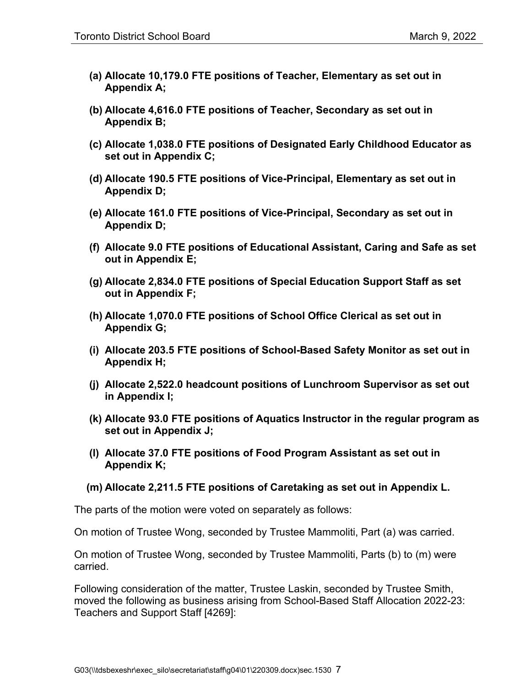- **(a) Allocate 10,179.0 FTE positions of Teacher, Elementary as set out in Appendix A;**
- **(b) Allocate 4,616.0 FTE positions of Teacher, Secondary as set out in Appendix B;**
- **(c) Allocate 1,038.0 FTE positions of Designated Early Childhood Educator as set out in Appendix C;**
- **(d) Allocate 190.5 FTE positions of Vice-Principal, Elementary as set out in Appendix D;**
- **(e) Allocate 161.0 FTE positions of Vice-Principal, Secondary as set out in Appendix D;**
- **(f) Allocate 9.0 FTE positions of Educational Assistant, Caring and Safe as set out in Appendix E;**
- **(g) Allocate 2,834.0 FTE positions of Special Education Support Staff as set out in Appendix F;**
- **(h) Allocate 1,070.0 FTE positions of School Office Clerical as set out in Appendix G;**
- **(i) Allocate 203.5 FTE positions of School-Based Safety Monitor as set out in Appendix H;**
- **(j) Allocate 2,522.0 headcount positions of Lunchroom Supervisor as set out in Appendix I;**
- **(k) Allocate 93.0 FTE positions of Aquatics Instructor in the regular program as set out in Appendix J;**
- **(l) Allocate 37.0 FTE positions of Food Program Assistant as set out in Appendix K;**

#### **(m) Allocate 2,211.5 FTE positions of Caretaking as set out in Appendix L.**

The parts of the motion were voted on separately as follows:

On motion of Trustee Wong, seconded by Trustee Mammoliti, Part (a) was carried.

On motion of Trustee Wong, seconded by Trustee Mammoliti, Parts (b) to (m) were carried.

Following consideration of the matter, Trustee Laskin, seconded by Trustee Smith, moved the following as business arising from School-Based Staff Allocation 2022-23: Teachers and Support Staff [4269]: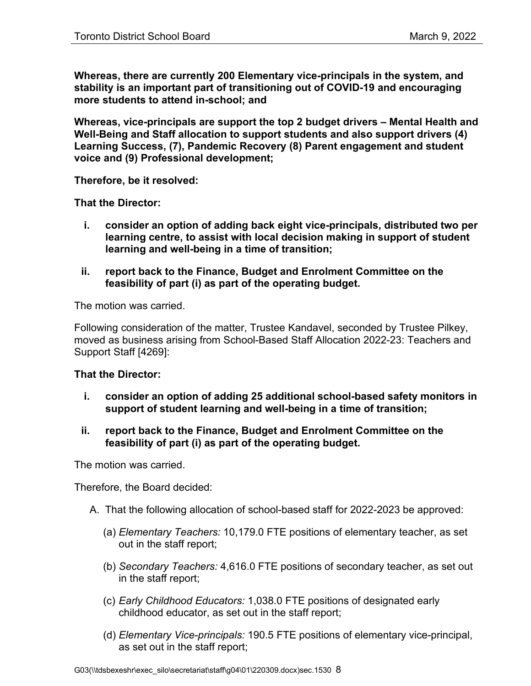**Whereas, there are currently 200 Elementary vice-principals in the system, and stability is an important part of transitioning out of COVID-19 and encouraging more students to attend in-school; and** 

**Whereas, vice-principals are support the top 2 budget drivers – Mental Health and Well-Being and Staff allocation to support students and also support drivers (4) Learning Success, (7), Pandemic Recovery (8) Parent engagement and student voice and (9) Professional development;** 

**Therefore, be it resolved:**

**That the Director:** 

- **i. consider an option of adding back eight vice-principals, distributed two per learning centre, to assist with local decision making in support of student learning and well-being in a time of transition;**
- **ii. report back to the Finance, Budget and Enrolment Committee on the feasibility of part (i) as part of the operating budget.**

The motion was carried.

Following consideration of the matter, Trustee Kandavel, seconded by Trustee Pilkey, moved as business arising from School-Based Staff Allocation 2022-23: Teachers and Support Staff [4269]:

#### **That the Director:**

- **i. consider an option of adding 25 additional school-based safety monitors in support of student learning and well-being in a time of transition;**
- **ii. report back to the Finance, Budget and Enrolment Committee on the feasibility of part (i) as part of the operating budget.**

The motion was carried.

Therefore, the Board decided:

- A. That the following allocation of school-based staff for 2022-2023 be approved:
	- (a) *Elementary Teachers:* 10,179.0 FTE positions of elementary teacher, as set out in the staff report;
	- (b) *Secondary Teachers:* 4,616.0 FTE positions of secondary teacher, as set out in the staff report;
	- (c) *Early Childhood Educators:* 1,038.0 FTE positions of designated early childhood educator, as set out in the staff report;
	- (d) *Elementary Vice-principals:* 190.5 FTE positions of elementary vice-principal, as set out in the staff report;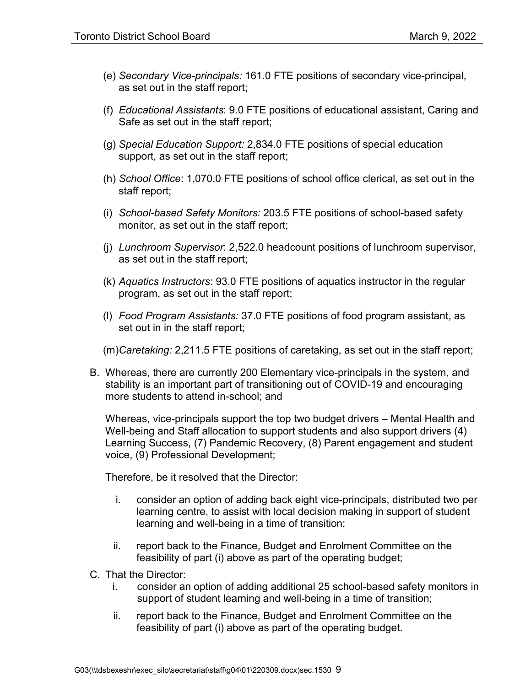- (e) *Secondary Vice-principals:* 161.0 FTE positions of secondary vice-principal, as set out in the staff report;
- (f) *Educational Assistants*: 9.0 FTE positions of educational assistant, Caring and Safe as set out in the staff report;
- (g) *Special Education Support:* 2,834.0 FTE positions of special education support, as set out in the staff report;
- (h) *School Office*: 1,070.0 FTE positions of school office clerical, as set out in the staff report;
- (i) *School-based Safety Monitors:* 203.5 FTE positions of school-based safety monitor, as set out in the staff report;
- (j) *Lunchroom Supervisor*: 2,522.0 headcount positions of lunchroom supervisor, as set out in the staff report;
- (k) *Aquatics Instructors*: 93.0 FTE positions of aquatics instructor in the regular program, as set out in the staff report;
- (l) *Food Program Assistants:* 37.0 FTE positions of food program assistant, as set out in in the staff report;

(m)*Caretaking:* 2,211.5 FTE positions of caretaking, as set out in the staff report;

B. Whereas, there are currently 200 Elementary vice-principals in the system, and stability is an important part of transitioning out of COVID-19 and encouraging more students to attend in-school; and

Whereas, vice-principals support the top two budget drivers – Mental Health and Well-being and Staff allocation to support students and also support drivers (4) Learning Success, (7) Pandemic Recovery, (8) Parent engagement and student voice, (9) Professional Development;

Therefore, be it resolved that the Director:

- i. consider an option of adding back eight vice-principals, distributed two per learning centre, to assist with local decision making in support of student learning and well-being in a time of transition;
- ii. report back to the Finance, Budget and Enrolment Committee on the feasibility of part (i) above as part of the operating budget;
- C. That the Director:
	- i. consider an option of adding additional 25 school-based safety monitors in support of student learning and well-being in a time of transition;
	- ii. report back to the Finance, Budget and Enrolment Committee on the feasibility of part (i) above as part of the operating budget.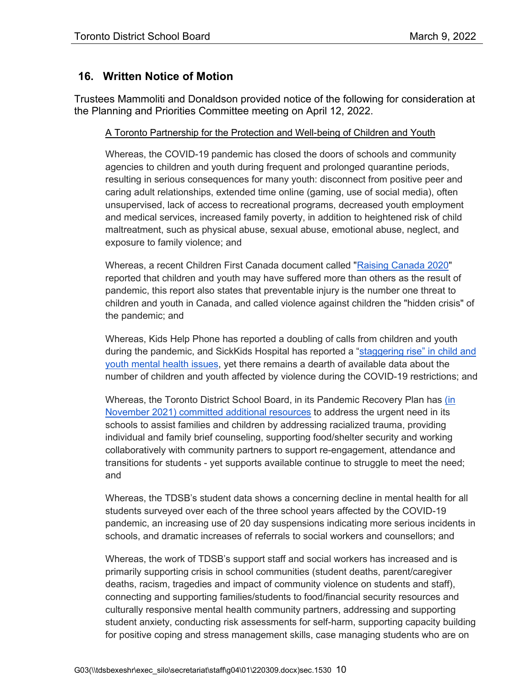### **16. Written Notice of Motion**

Trustees Mammoliti and Donaldson provided notice of the following for consideration at the Planning and Priorities Committee meeting on April 12, 2022.

#### A Toronto Partnership for the Protection and Well-being of Children and Youth

Whereas, the COVID-19 pandemic has closed the doors of schools and community agencies to children and youth during frequent and prolonged quarantine periods, resulting in serious consequences for many youth: disconnect from positive peer and caring adult relationships, extended time online (gaming, use of social media), often unsupervised, lack of access to recreational programs, decreased youth employment and medical services, increased family poverty, in addition to heightened risk of child maltreatment, such as physical abuse, sexual abuse, emotional abuse, neglect, and exposure to family violence; and

Whereas, a recent Children First Canada document called ["Raising Canada 2020"](https://childrenfirstcanada.org/campaign/raising-canada/) reported that children and youth may have suffered more than others as the result of pandemic, this report also states that preventable injury is the number one threat to children and youth in Canada, and called violence against children the "hidden crisis" of the pandemic; and

Whereas, Kids Help Phone has reported a doubling of calls from children and youth during the pandemic, and SickKids Hospital has reported a "staggering rise" in child and [youth mental health issues,](https://www.sickkids.ca/siteassets/about/about-sickkids/sickkids-annual-report-2020-2021.pdf) yet there remains a dearth of available data about the number of children and youth affected by violence during the COVID-19 restrictions; and

Whereas, the Toronto District School Board, in its Pandemic Recovery Plan has [\(in](https://pub-tdsb.escribemeetings.com/filestream.ashx?DocumentId=9747)  [November 2021\) committed additional resources](https://pub-tdsb.escribemeetings.com/filestream.ashx?DocumentId=9747) to address the urgent need in its schools to assist families and children by addressing racialized trauma, providing individual and family brief counseling, supporting food/shelter security and working collaboratively with community partners to support re-engagement, attendance and transitions for students - yet supports available continue to struggle to meet the need; and

Whereas, the TDSB's student data shows a concerning decline in mental health for all students surveyed over each of the three school years affected by the COVID-19 pandemic, an increasing use of 20 day suspensions indicating more serious incidents in schools, and dramatic increases of referrals to social workers and counsellors; and

Whereas, the work of TDSB's support staff and social workers has increased and is primarily supporting crisis in school communities (student deaths, parent/caregiver deaths, racism, tragedies and impact of community violence on students and staff), connecting and supporting families/students to food/financial security resources and culturally responsive mental health community partners, addressing and supporting student anxiety, conducting risk assessments for self-harm, supporting capacity building for positive coping and stress management skills, case managing students who are on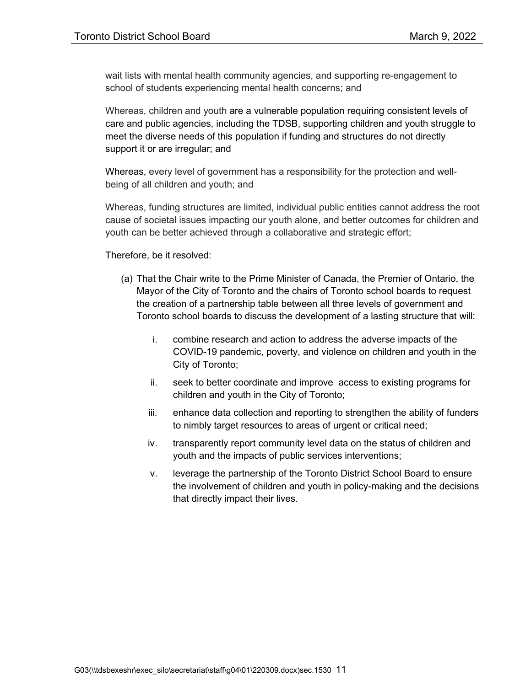wait lists with mental health community agencies, and supporting re-engagement to school of students experiencing mental health concerns; and

Whereas, children and youth are a vulnerable population requiring consistent levels of care and public agencies, including the TDSB, supporting children and youth struggle to meet the diverse needs of this population if funding and structures do not directly support it or are irregular; and

Whereas, every level of government has a responsibility for the protection and wellbeing of all children and youth; and

Whereas, funding structures are limited, individual public entities cannot address the root cause of societal issues impacting our youth alone, and better outcomes for children and youth can be better achieved through a collaborative and strategic effort;

Therefore, be it resolved:

- (a) That the Chair write to the Prime Minister of Canada, the Premier of Ontario, the Mayor of the City of Toronto and the chairs of Toronto school boards to request the creation of a partnership table between all three levels of government and Toronto school boards to discuss the development of a lasting structure that will:
	- i. combine research and action to address the adverse impacts of the COVID-19 pandemic, poverty, and violence on children and youth in the City of Toronto;
	- ii. seek to better coordinate and improve access to existing programs for children and youth in the City of Toronto;
	- iii. enhance data collection and reporting to strengthen the ability of funders to nimbly target resources to areas of urgent or critical need;
	- iv. transparently report community level data on the status of children and youth and the impacts of public services interventions;
	- v. leverage the partnership of the Toronto District School Board to ensure the involvement of children and youth in policy-making and the decisions that directly impact their lives.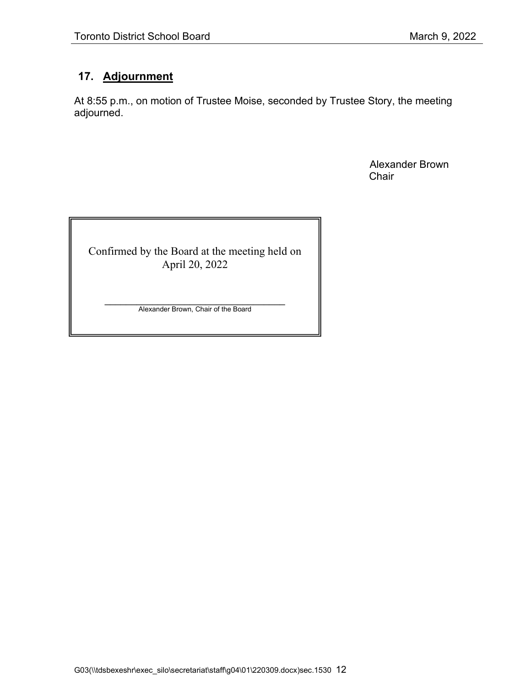# **17. Adjournment**

At 8:55 p.m., on motion of Trustee Moise, seconded by Trustee Story, the meeting adjourned.

> Alexander Brown **Chair**

Confirmed by the Board at the meeting held on April 20, 2022

 $\mathcal{L}_\text{max}$  , and the set of the set of the set of the set of the set of the set of the set of the set of the set of the set of the set of the set of the set of the set of the set of the set of the set of the set of the Alexander Brown, Chair of the Board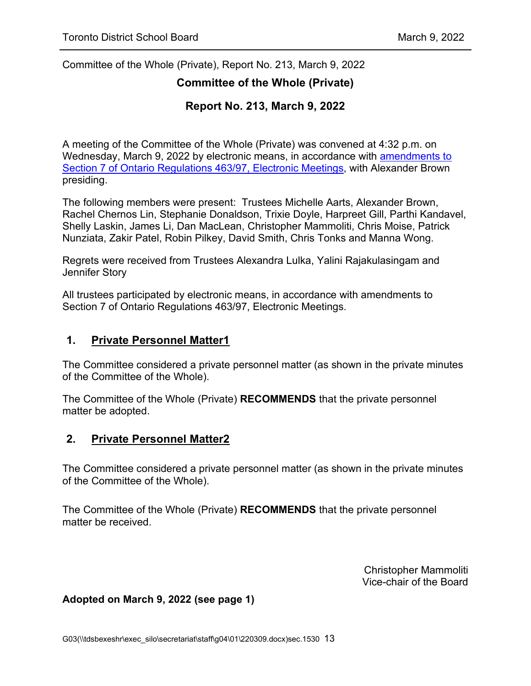Committee of the Whole (Private), Report No. 213, March 9, 2022

#### **Committee of the Whole (Private)**

### **Report No. 213, March 9, 2022**

A meeting of the Committee of the Whole (Private) was convened at 4:32 p.m. on Wednesday, March 9, 2022 by electronic means, in accordance with [amendments to](https://www.ontario.ca/laws/regulation/970463)  [Section 7 of Ontario Regulations 463/97, Electronic Meetings,](https://www.ontario.ca/laws/regulation/970463) with Alexander Brown presiding.

The following members were present: Trustees Michelle Aarts, Alexander Brown, Rachel Chernos Lin, Stephanie Donaldson, Trixie Doyle, Harpreet Gill, Parthi Kandavel, Shelly Laskin, James Li, Dan MacLean, Christopher Mammoliti, Chris Moise, Patrick Nunziata, Zakir Patel, Robin Pilkey, David Smith, Chris Tonks and Manna Wong.

Regrets were received from Trustees Alexandra Lulka, Yalini Rajakulasingam and Jennifer Story

All trustees participated by electronic means, in accordance with amendments to Section 7 of Ontario Regulations 463/97, Electronic Meetings.

#### **1. Private Personnel Matter1**

The Committee considered a private personnel matter (as shown in the private minutes of the Committee of the Whole).

The Committee of the Whole (Private) **RECOMMENDS** that the private personnel matter be adopted.

#### **2. Private Personnel Matter2**

The Committee considered a private personnel matter (as shown in the private minutes of the Committee of the Whole).

The Committee of the Whole (Private) **RECOMMENDS** that the private personnel matter be received.

> Christopher Mammoliti Vice-chair of the Board

#### **Adopted on March 9, 2022 (see page [1\)](#page-0-0)**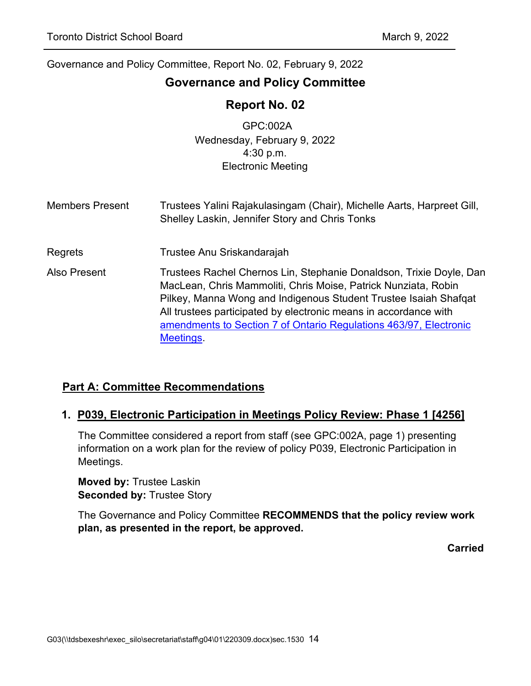# <span id="page-13-0"></span>**Governance and Policy Committee**

# **Report No. 02**

GPC:002A Wednesday, February 9, 2022 4:30 p.m. Electronic Meeting

- Members Present Trustees Yalini Rajakulasingam (Chair), Michelle Aarts, Harpreet Gill, Shelley Laskin, Jennifer Story and Chris Tonks
- Regrets Trustee Anu Sriskandarajah
- Also Present Trustees Rachel Chernos Lin, Stephanie Donaldson, Trixie Doyle, Dan MacLean, Chris Mammoliti, Chris Moise, Patrick Nunziata, Robin Pilkey, Manna Wong and Indigenous Student Trustee Isaiah Shafqat All trustees participated by electronic means in accordance with [amendments to Section 7 of Ontario Regulations 463/97, Electronic](https://www.ontario.ca/laws/regulation/970463)  **Meetings**

### **Part A: Committee Recommendations**

#### **1. P039, Electronic Participation in Meetings Policy Review: Phase 1 [4256]**

The Committee considered a report from staff (see GPC:002A, page 1) presenting information on a work plan for the review of policy P039, Electronic Participation in Meetings.

**Moved by:** Trustee Laskin **Seconded by:** Trustee Story

The Governance and Policy Committee **RECOMMENDS that the policy review work plan, as presented in the report, be approved.**

**Carried**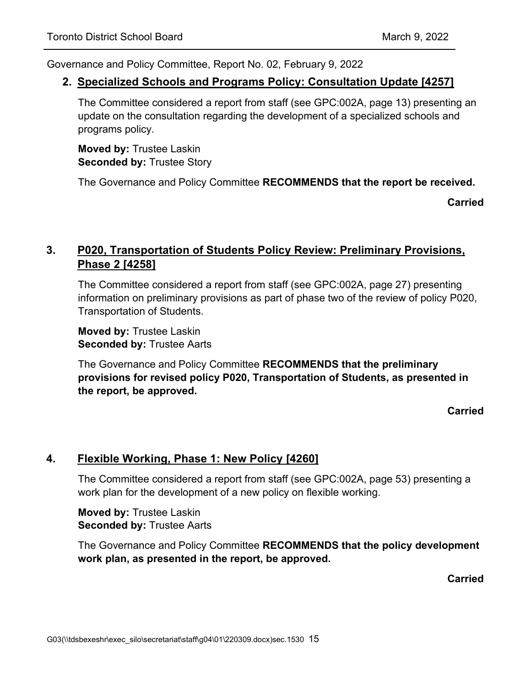#### **2. Specialized Schools and Programs Policy: Consultation Update [4257]**

The Committee considered a report from staff (see GPC:002A, page 13) presenting an update on the consultation regarding the development of a specialized schools and programs policy.

**Moved by:** Trustee Laskin **Seconded by:** Trustee Story

The Governance and Policy Committee **RECOMMENDS that the report be received.**

**Carried**

# **3. P020, Transportation of Students Policy Review: Preliminary Provisions, Phase 2 [4258]**

The Committee considered a report from staff (see GPC:002A, page 27) presenting information on preliminary provisions as part of phase two of the review of policy P020, Transportation of Students.

**Moved by:** Trustee Laskin **Seconded by:** Trustee Aarts

The Governance and Policy Committee **RECOMMENDS that the preliminary provisions for revised policy P020, Transportation of Students, as presented in the report, be approved.**

**Carried**

### **4. Flexible Working, Phase 1: New Policy [4260]**

The Committee considered a report from staff (see GPC:002A, page 53) presenting a work plan for the development of a new policy on flexible working.

**Moved by:** Trustee Laskin **Seconded by:** Trustee Aarts

The Governance and Policy Committee **RECOMMENDS that the policy development work plan, as presented in the report, be approved.**

**Carried**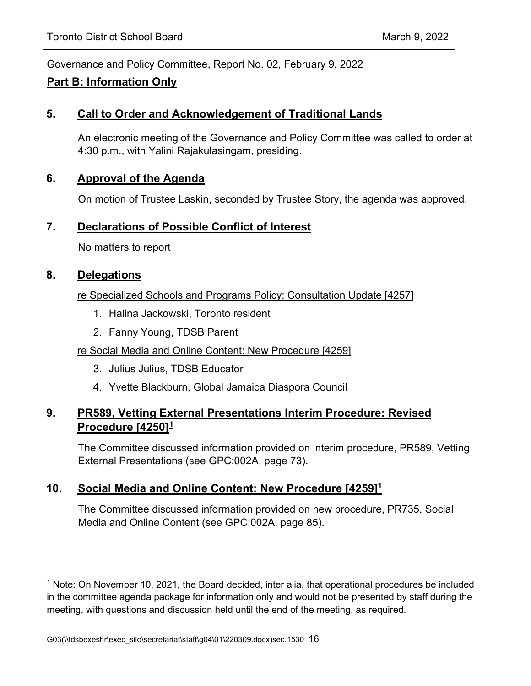### **Part B: Information Only**

### **5. Call to Order and Acknowledgement of Traditional Lands**

An electronic meeting of the Governance and Policy Committee was called to order at 4:30 p.m., with Yalini Rajakulasingam, presiding.

### **6. Approval of the Agenda**

On motion of Trustee Laskin, seconded by Trustee Story, the agenda was approved.

### **7. Declarations of Possible Conflict of Interest**

No matters to report

### **8. Delegations**

#### re Specialized Schools and Programs Policy: Consultation Update [4257]

- 1. Halina Jackowski, Toronto resident
- 2. Fanny Young, TDSB Parent

### re Social Media and Online Content: New Procedure [4259]

- 3. Julius Julius, TDSB Educator
- 4. Yvette Blackburn, Global Jamaica Diaspora Council

# **9. PR589, Vetting External Presentations Interim Procedure: Revised Procedure [4250][1](#page-15-0)**

The Committee discussed information provided on interim procedure, PR589, Vetting External Presentations (see GPC:002A, page 73).

### **10. Social Media and Online Content: New Procedure [4259]1**

The Committee discussed information provided on new procedure, PR735, Social Media and Online Content (see GPC:002A, page 85).

<span id="page-15-0"></span><sup>1</sup> Note: On November 10, 2021, the Board decided, inter alia, that operational procedures be included in the committee agenda package for information only and would not be presented by staff during the meeting, with questions and discussion held until the end of the meeting, as required.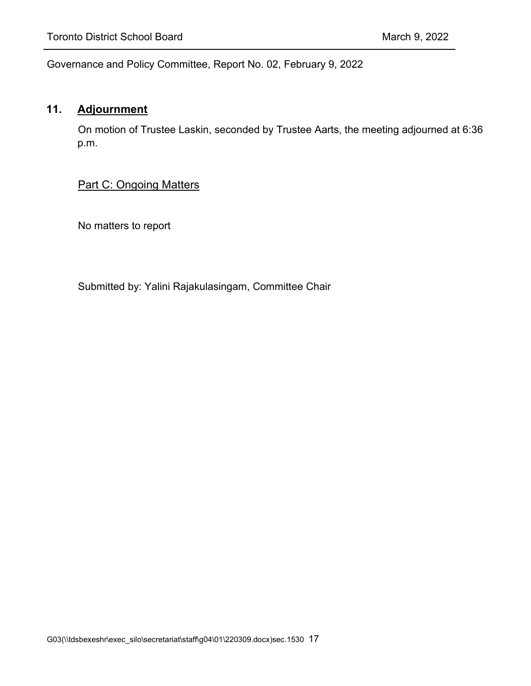# **11. Adjournment**

On motion of Trustee Laskin, seconded by Trustee Aarts, the meeting adjourned at 6:36 p.m.

### Part C: Ongoing Matters

No matters to report

Submitted by: Yalini Rajakulasingam, Committee Chair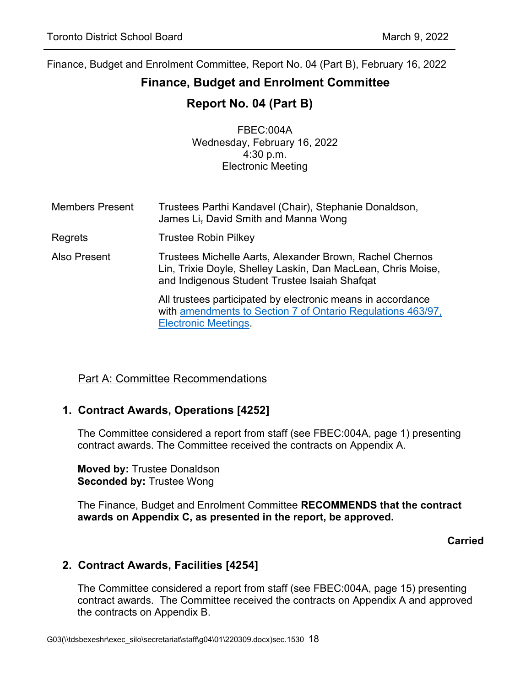# <span id="page-17-0"></span>**Finance, Budget and Enrolment Committee**

# **Report No. 04 (Part B)**

FBEC:004A Wednesday, February 16, 2022 4:30 p.m. Electronic Meeting

Members Present Regrets Trustees Parthi Kandavel (Chair), Stephanie Donaldson, James Li, David Smith and Manna Wong Trustee Robin Pilkey Also Present Trustees Michelle Aarts, Alexander Brown, Rachel Chernos Lin, Trixie Doyle, Shelley Laskin, Dan MacLean, Chris Moise, and Indigenous Student Trustee Isaiah Shafqat All trustees participated by electronic means in accordance with [amendments to Section 7 of Ontario Regulations 463/97,](https://www.ontario.ca/laws/regulation/970463)  [Electronic Meetings.](https://www.ontario.ca/laws/regulation/970463)

# Part A: Committee Recommendations

# **1. Contract Awards, Operations [4252]**

The Committee considered a report from staff (see FBEC:004A, page 1) presenting contract awards. The Committee received the contracts on Appendix A.

**Moved by:** Trustee Donaldson **Seconded by:** Trustee Wong

The Finance, Budget and Enrolment Committee **RECOMMENDS that the contract awards on Appendix C, as presented in the report, be approved.**

**Carried**

### **2. Contract Awards, Facilities [4254]**

The Committee considered a report from staff (see FBEC:004A, page 15) presenting contract awards. The Committee received the contracts on Appendix A and approved the contracts on Appendix B.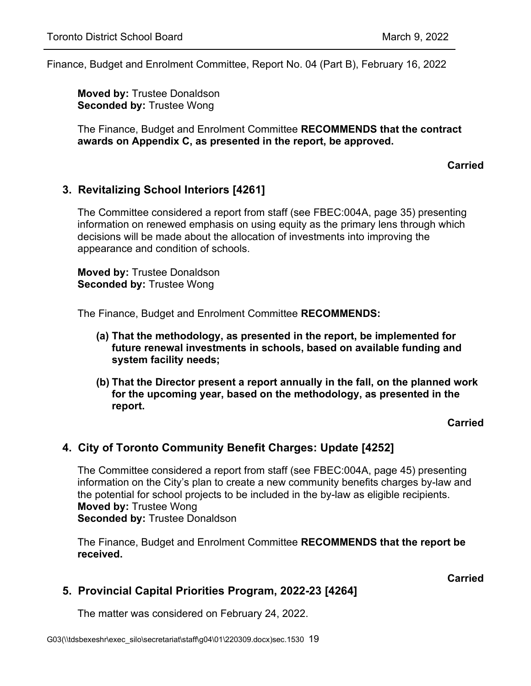**Moved by:** Trustee Donaldson **Seconded by:** Trustee Wong

The Finance, Budget and Enrolment Committee **RECOMMENDS that the contract awards on Appendix C, as presented in the report, be approved.**

#### **Carried**

### **3. Revitalizing School Interiors [4261]**

The Committee considered a report from staff (see FBEC:004A, page 35) presenting information on renewed emphasis on using equity as the primary lens through which decisions will be made about the allocation of investments into improving the appearance and condition of schools.

**Moved by:** Trustee Donaldson **Seconded by:** Trustee Wong

The Finance, Budget and Enrolment Committee **RECOMMENDS:**

- **(a) That the methodology, as presented in the report, be implemented for future renewal investments in schools, based on available funding and system facility needs;**
- **(b) That the Director present a report annually in the fall, on the planned work for the upcoming year, based on the methodology, as presented in the report.**

#### **Carried**

### **4. City of Toronto Community Benefit Charges: Update [4252]**

The Committee considered a report from staff (see FBEC:004A, page 45) presenting information on the City's plan to create a new community benefits charges by-law and the potential for school projects to be included in the by-law as eligible recipients. **Moved by:** Trustee Wong **Seconded by:** Trustee Donaldson

The Finance, Budget and Enrolment Committee **RECOMMENDS that the report be received.**

**Carried**

### **5. Provincial Capital Priorities Program, 2022-23 [4264]**

The matter was considered on February 24, 2022.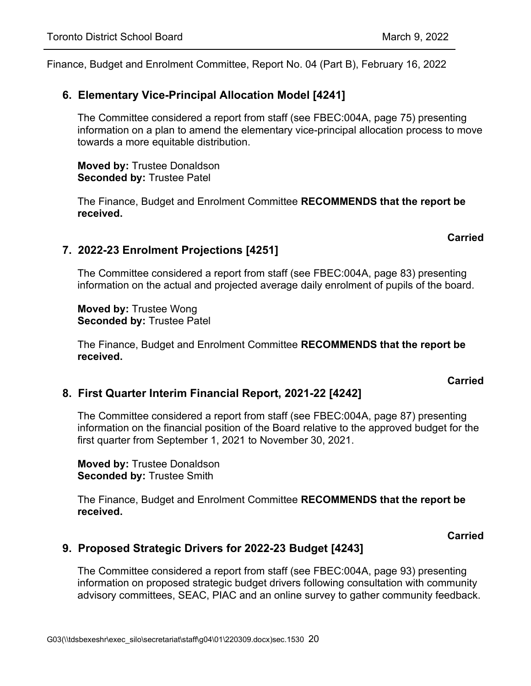### **6. Elementary Vice-Principal Allocation Model [4241]**

The Committee considered a report from staff (see FBEC:004A, page 75) presenting information on a plan to amend the elementary vice-principal allocation process to move towards a more equitable distribution.

**Moved by:** Trustee Donaldson **Seconded by:** Trustee Patel

The Finance, Budget and Enrolment Committee **RECOMMENDS that the report be received.**

#### **Carried**

### **7. 2022-23 Enrolment Projections [4251]**

The Committee considered a report from staff (see FBEC:004A, page 83) presenting information on the actual and projected average daily enrolment of pupils of the board.

**Moved by:** Trustee Wong **Seconded by:** Trustee Patel

The Finance, Budget and Enrolment Committee **RECOMMENDS that the report be received.**

#### **Carried**

### **8. First Quarter Interim Financial Report, 2021-22 [4242]**

The Committee considered a report from staff (see FBEC:004A, page 87) presenting information on the financial position of the Board relative to the approved budget for the first quarter from September 1, 2021 to November 30, 2021.

**Moved by:** Trustee Donaldson **Seconded by:** Trustee Smith

The Finance, Budget and Enrolment Committee **RECOMMENDS that the report be received.**

**Carried**

### <span id="page-19-0"></span>**9. Proposed Strategic Drivers for 2022-23 Budget [4243]**

The Committee considered a report from staff (see FBEC:004A, page 93) presenting information on proposed strategic budget drivers following consultation with community advisory committees, SEAC, PIAC and an online survey to gather community feedback.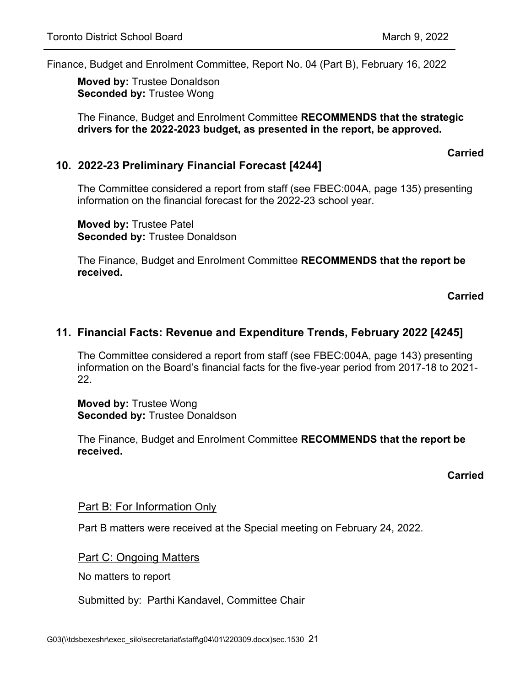**Moved by:** Trustee Donaldson **Seconded by:** Trustee Wong

The Finance, Budget and Enrolment Committee **RECOMMENDS that the strategic drivers for the 2022-2023 budget, as presented in the report, be approved.**

#### **Carried**

#### **10. 2022-23 Preliminary Financial Forecast [4244]**

The Committee considered a report from staff (see FBEC:004A, page 135) presenting information on the financial forecast for the 2022-23 school year.

**Moved by:** Trustee Patel **Seconded by:** Trustee Donaldson

The Finance, Budget and Enrolment Committee **RECOMMENDS that the report be received.**

**Carried**

### <span id="page-20-0"></span>**11. Financial Facts: Revenue and Expenditure Trends, February 2022 [4245]**

The Committee considered a report from staff (see FBEC:004A, page 143) presenting information on the Board's financial facts for the five-year period from 2017-18 to 2021- 22.

**Moved by:** Trustee Wong **Seconded by:** Trustee Donaldson

The Finance, Budget and Enrolment Committee **RECOMMENDS that the report be received.**

#### **Carried**

#### Part B: For Information Only

Part B matters were received at the Special meeting on February 24, 2022.

Part C: Ongoing Matters

No matters to report

Submitted by: Parthi Kandavel, Committee Chair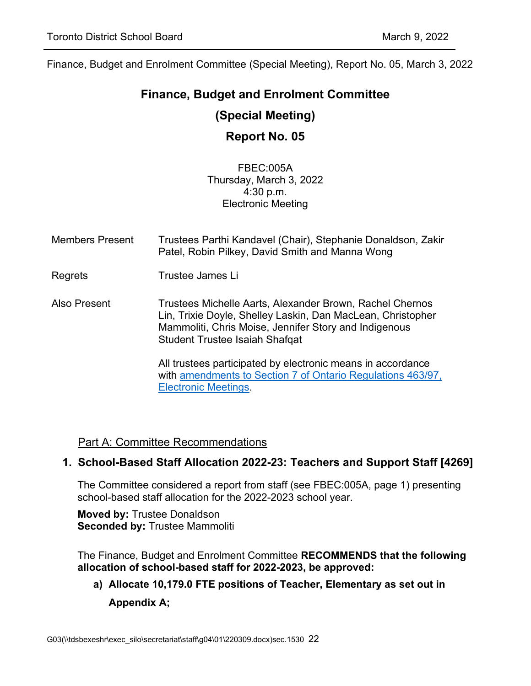# <span id="page-21-0"></span>**Finance, Budget and Enrolment Committee (Special Meeting)**

# **Report No. 05**

FBEC:005A Thursday, March 3, 2022 4:30 p.m. Electronic Meeting

| <b>Members Present</b> | Trustees Parthi Kandavel (Chair), Stephanie Donaldson, Zakir<br>Patel, Robin Pilkey, David Smith and Manna Wong                                                                                                           |
|------------------------|---------------------------------------------------------------------------------------------------------------------------------------------------------------------------------------------------------------------------|
| Regrets                | Trustee James Li                                                                                                                                                                                                          |
| Also Present           | Trustees Michelle Aarts, Alexander Brown, Rachel Chernos<br>Lin, Trixie Doyle, Shelley Laskin, Dan MacLean, Christopher<br>Mammoliti, Chris Moise, Jennifer Story and Indigenous<br><b>Student Trustee Isaiah Shafqat</b> |
|                        | All trustees participated by electronic means in accordance<br>with amendments to Section 7 of Ontario Regulations 463/97,<br><b>Electronic Meetings</b>                                                                  |

### Part A: Committee Recommendations

### <span id="page-21-1"></span>**1. School-Based Staff Allocation 2022-23: Teachers and Support Staff [4269]**

The Committee considered a report from staff (see FBEC:005A, page 1) presenting school-based staff allocation for the 2022-2023 school year.

**Moved by:** Trustee Donaldson **Seconded by:** Trustee Mammoliti

The Finance, Budget and Enrolment Committee **RECOMMENDS that the following allocation of school-based staff for 2022-2023, be approved:**

**a) Allocate 10,179.0 FTE positions of Teacher, Elementary as set out in Appendix A;**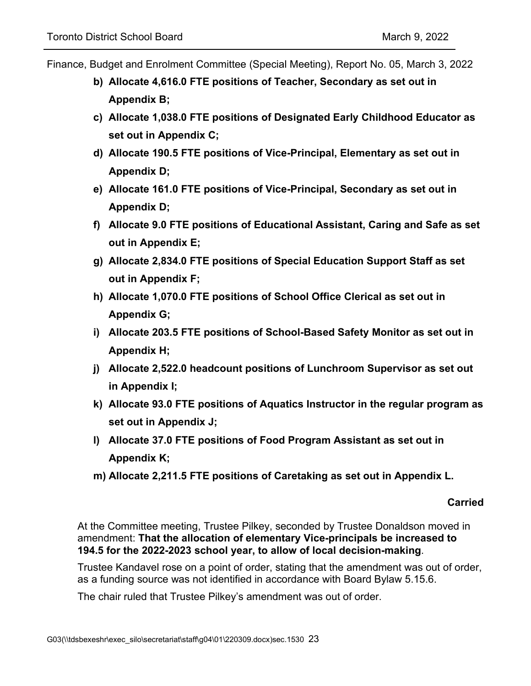- Finance, Budget and Enrolment Committee (Special Meeting), Report No. 05, March 3, 2022
	- **b) Allocate 4,616.0 FTE positions of Teacher, Secondary as set out in Appendix B;**
	- **c) Allocate 1,038.0 FTE positions of Designated Early Childhood Educator as set out in Appendix C;**
	- **d) Allocate 190.5 FTE positions of Vice-Principal, Elementary as set out in Appendix D;**
	- **e) Allocate 161.0 FTE positions of Vice-Principal, Secondary as set out in Appendix D;**
	- **f) Allocate 9.0 FTE positions of Educational Assistant, Caring and Safe as set out in Appendix E;**
	- **g) Allocate 2,834.0 FTE positions of Special Education Support Staff as set out in Appendix F;**
	- **h) Allocate 1,070.0 FTE positions of School Office Clerical as set out in Appendix G;**
	- **i) Allocate 203.5 FTE positions of School-Based Safety Monitor as set out in Appendix H;**
	- **j) Allocate 2,522.0 headcount positions of Lunchroom Supervisor as set out in Appendix I;**
	- **k) Allocate 93.0 FTE positions of Aquatics Instructor in the regular program as set out in Appendix J;**
	- **l) Allocate 37.0 FTE positions of Food Program Assistant as set out in Appendix K;**
	- **m) Allocate 2,211.5 FTE positions of Caretaking as set out in Appendix L.**

#### **Carried**

At the Committee meeting, Trustee Pilkey, seconded by Trustee Donaldson moved in amendment: **That the allocation of elementary Vice-principals be increased to 194.5 for the 2022-2023 school year, to allow of local decision-making**.

Trustee Kandavel rose on a point of order, stating that the amendment was out of order, as a funding source was not identified in accordance with Board Bylaw 5.15.6.

The chair ruled that Trustee Pilkey's amendment was out of order.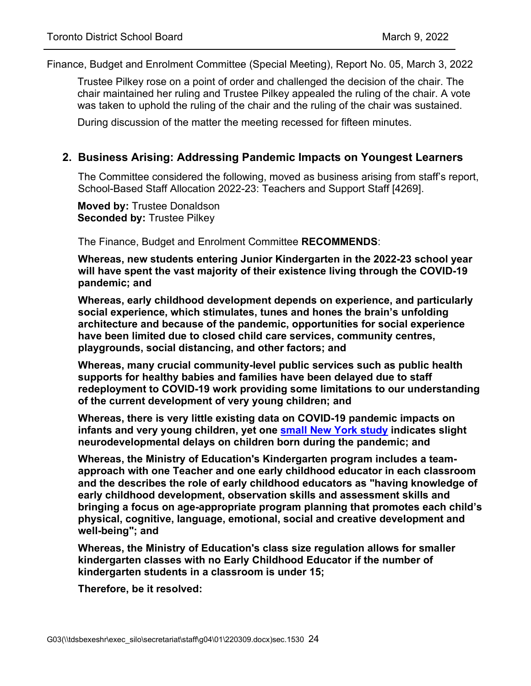Trustee Pilkey rose on a point of order and challenged the decision of the chair. The chair maintained her ruling and Trustee Pilkey appealed the ruling of the chair. A vote was taken to uphold the ruling of the chair and the ruling of the chair was sustained.

During discussion of the matter the meeting recessed for fifteen minutes.

#### **2. Business Arising: Addressing Pandemic Impacts on Youngest Learners**

The Committee considered the following, moved as business arising from staff's report, School-Based Staff Allocation 2022-23: Teachers and Support Staff [4269].

**Moved by:** Trustee Donaldson **Seconded by:** Trustee Pilkey

The Finance, Budget and Enrolment Committee **RECOMMENDS**:

**Whereas, new students entering Junior Kindergarten in the 2022-23 school year will have spent the vast majority of their existence living through the COVID-19 pandemic; and**

**Whereas, early childhood development depends on experience, and particularly social experience, which stimulates, tunes and hones the brain's unfolding architecture and because of the pandemic, opportunities for social experience have been limited due to closed child care services, community centres, playgrounds, social distancing, and other factors; and**

**Whereas, many crucial community-level public services such as public health supports for healthy babies and families have been delayed due to staff redeployment to COVID-19 work providing some limitations to our understanding of the current development of very young children; and**

**Whereas, there is very little existing data on COVID-19 pandemic impacts on infants and very young children, yet one [small New York study](https://www.nichd.nih.gov/newsroom/news/012822-COVID-pregnancy-neurodevelopment) indicates slight neurodevelopmental delays on children born during the pandemic; and**

**Whereas, the Ministry of Education's Kindergarten program includes a teamapproach with one Teacher and one early childhood educator in each classroom and the describes the role of early childhood educators as "having knowledge of early childhood development, observation skills and assessment skills and bringing a focus on age-appropriate program planning that promotes each child's physical, cognitive, language, emotional, social and creative development and well-being"; and**

**Whereas, the Ministry of Education's class size regulation allows for smaller kindergarten classes with no Early Childhood Educator if the number of kindergarten students in a classroom is under 15;** 

**Therefore, be it resolved:**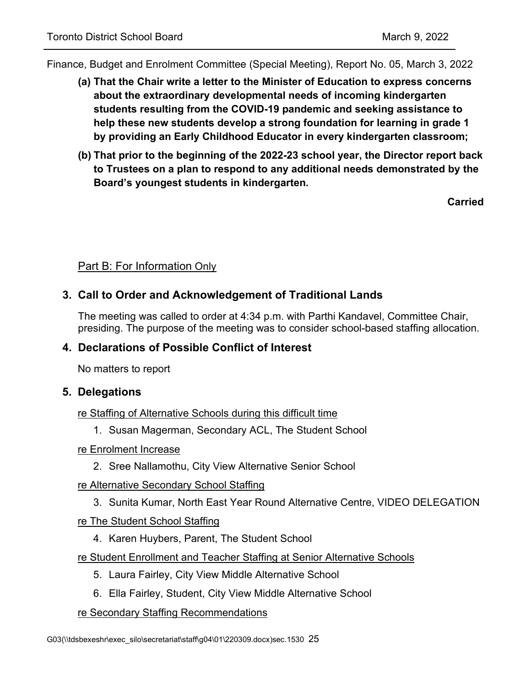- **(a) That the Chair write a letter to the Minister of Education to express concerns about the extraordinary developmental needs of incoming kindergarten students resulting from the COVID-19 pandemic and seeking assistance to help these new students develop a strong foundation for learning in grade 1 by providing an Early Childhood Educator in every kindergarten classroom;**
- **(b) That prior to the beginning of the 2022-23 school year, the Director report back to Trustees on a plan to respond to any additional needs demonstrated by the Board's youngest students in kindergarten.**

**Carried**

### Part B: For Information Only

### **3. Call to Order and Acknowledgement of Traditional Lands**

The meeting was called to order at 4:34 p.m. with Parthi Kandavel, Committee Chair, presiding. The purpose of the meeting was to consider school-based staffing allocation.

### **4. Declarations of Possible Conflict of Interest**

No matters to report

### **5. Delegations**

re Staffing of Alternative Schools during this difficult time

1. Susan Magerman, Secondary ACL, The Student School

### re Enrolment Increase

2. Sree Nallamothu, City View Alternative Senior School

### re Alternative Secondary School Staffing

3. Sunita Kumar, North East Year Round Alternative Centre, VIDEO DELEGATION

#### re The Student School Staffing

4. Karen Huybers, Parent, The Student School

#### re Student Enrollment and Teacher Staffing at Senior Alternative Schools

- 5. Laura Fairley, City View Middle Alternative School
- 6. Ella Fairley, Student, City View Middle Alternative School

### re Secondary Staffing Recommendations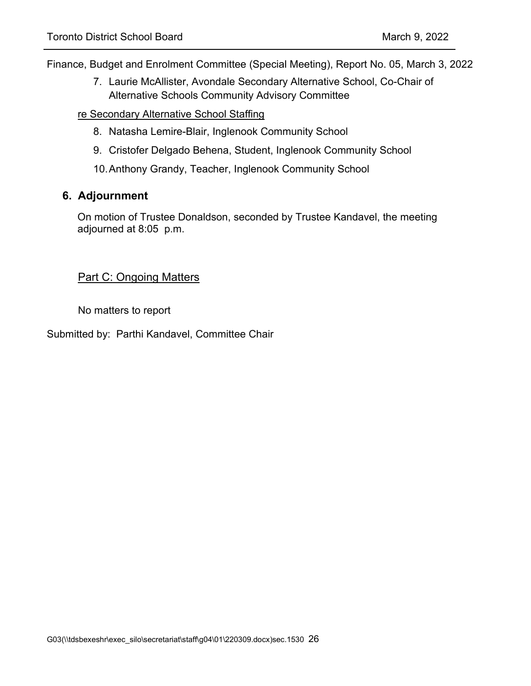7. Laurie McAllister, Avondale Secondary Alternative School, Co-Chair of Alternative Schools Community Advisory Committee

#### re Secondary Alternative School Staffing

- 8. Natasha Lemire-Blair, Inglenook Community School
- 9. Cristofer Delgado Behena, Student, Inglenook Community School
- 10.Anthony Grandy, Teacher, Inglenook Community School

### **6. Adjournment**

On motion of Trustee Donaldson, seconded by Trustee Kandavel, the meeting adjourned at 8:05 p.m.

### Part C: Ongoing Matters

No matters to report

Submitted by: Parthi Kandavel, Committee Chair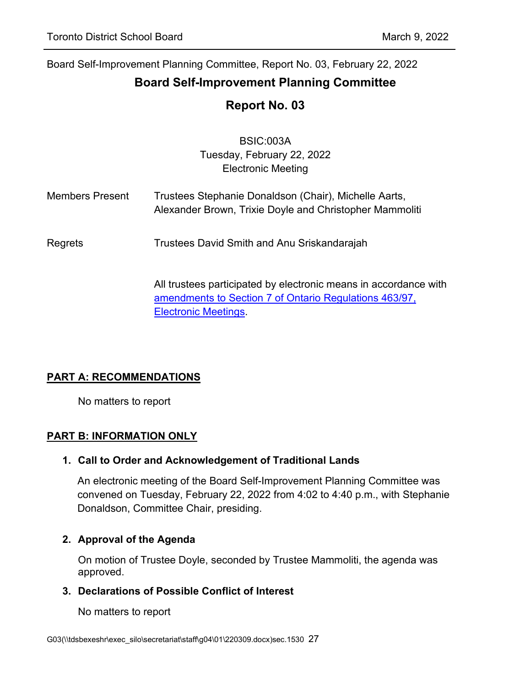<span id="page-26-0"></span>Board Self-Improvement Planning Committee, Report No. 03, February 22, 2022

# **Board Self-Improvement Planning Committee**

# **Report No. 03**

|                        | <b>BSIC:003A</b><br>Tuesday, February 22, 2022<br><b>Electronic Meeting</b>                                                                               |
|------------------------|-----------------------------------------------------------------------------------------------------------------------------------------------------------|
| <b>Members Present</b> | Trustees Stephanie Donaldson (Chair), Michelle Aarts,<br>Alexander Brown, Trixie Doyle and Christopher Mammoliti                                          |
| Regrets                | Trustees David Smith and Anu Sriskandarajah                                                                                                               |
|                        | All trustees participated by electronic means in accordance with<br>amendments to Section 7 of Ontario Regulations 463/97,<br><b>Electronic Meetings.</b> |

# **PART A: RECOMMENDATIONS**

No matters to report

### **PART B: INFORMATION ONLY**

### **1. Call to Order and Acknowledgement of Traditional Lands**

An electronic meeting of the Board Self-Improvement Planning Committee was convened on Tuesday, February 22, 2022 from 4:02 to 4:40 p.m., with Stephanie Donaldson, Committee Chair, presiding.

### **2. Approval of the Agenda**

On motion of Trustee Doyle, seconded by Trustee Mammoliti, the agenda was approved.

### **3. Declarations of Possible Conflict of Interest**

No matters to report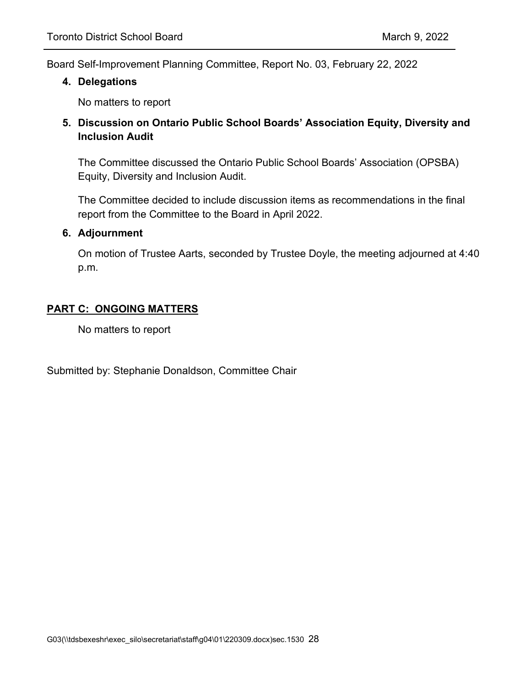Board Self-Improvement Planning Committee, Report No. 03, February 22, 2022

#### **4. Delegations**

No matters to report

### **5. Discussion on Ontario Public School Boards' Association Equity, Diversity and Inclusion Audit**

The Committee discussed the Ontario Public School Boards' Association (OPSBA) Equity, Diversity and Inclusion Audit.

The Committee decided to include discussion items as recommendations in the final report from the Committee to the Board in April 2022.

#### **6. Adjournment**

On motion of Trustee Aarts, seconded by Trustee Doyle, the meeting adjourned at 4:40 p.m.

### **PART C: ONGOING MATTERS**

No matters to report

Submitted by: Stephanie Donaldson, Committee Chair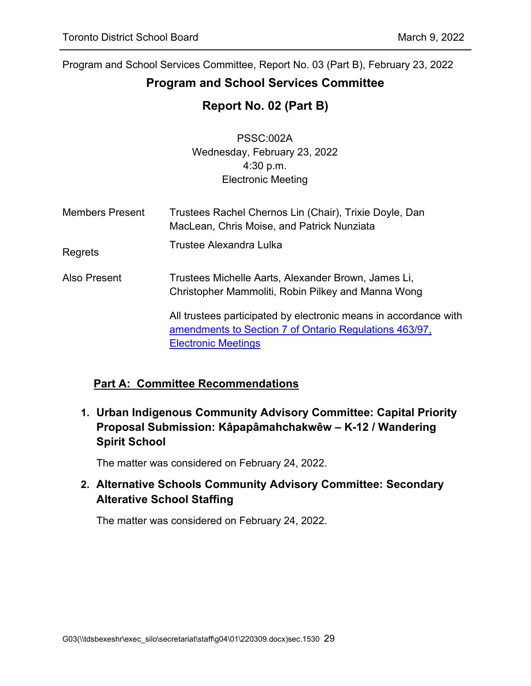# <span id="page-28-0"></span>**Program and School Services Committee**

# **Report No. 02 (Part B)**

PSSC:002A Wednesday, February 23, 2022 4:30 p.m. Electronic Meeting

| <b>Members Present</b> | Trustees Rachel Chernos Lin (Chair), Trixie Doyle, Dan<br>MacLean, Chris Moise, and Patrick Nunziata                                                     |
|------------------------|----------------------------------------------------------------------------------------------------------------------------------------------------------|
| Regrets                | Trustee Alexandra Lulka                                                                                                                                  |
| Also Present           | Trustees Michelle Aarts, Alexander Brown, James Li,<br>Christopher Mammoliti, Robin Pilkey and Manna Wong                                                |
|                        | All trustees participated by electronic means in accordance with<br>amendments to Section 7 of Ontario Regulations 463/97,<br><b>Electronic Meetings</b> |

# **Part A: Committee Recommendations**

**1. Urban Indigenous Community Advisory Committee: Capital Priority Proposal Submission: Kâpapâmahchakwêw – K-12 / Wandering Spirit School**

The matter was considered on February 24, 2022.

# **2. Alternative Schools Community Advisory Committee: Secondary Alterative School Staffing**

The matter was considered on February 24, 2022.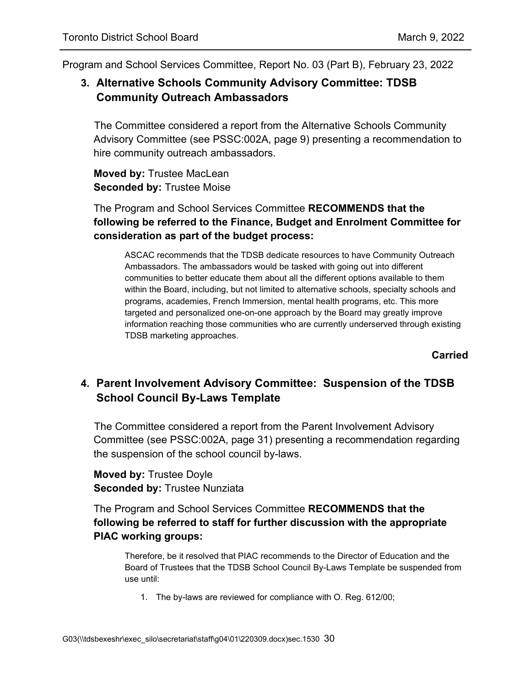# **3. Alternative Schools Community Advisory Committee: TDSB Community Outreach Ambassadors**

The Committee considered a report from the Alternative Schools Community Advisory Committee (see PSSC:002A, page 9) presenting a recommendation to hire community outreach ambassadors.

**Moved by:** Trustee MacLean **Seconded by:** Trustee Moise

The Program and School Services Committee **RECOMMENDS that the following be referred to the Finance, Budget and Enrolment Committee for consideration as part of the budget process:**

ASCAC recommends that the TDSB dedicate resources to have Community Outreach Ambassadors. The ambassadors would be tasked with going out into different communities to better educate them about all the different options available to them within the Board, including, but not limited to alternative schools, specialty schools and programs, academies, French Immersion, mental health programs, etc. This more targeted and personalized one-on-one approach by the Board may greatly improve information reaching those communities who are currently underserved through existing TDSB marketing approaches.

**Carried**

# **4. Parent Involvement Advisory Committee: Suspension of the TDSB School Council By-Laws Template**

The Committee considered a report from the Parent Involvement Advisory Committee (see PSSC:002A, page 31) presenting a recommendation regarding the suspension of the school council by-laws.

**Moved by:** Trustee Doyle **Seconded by:** Trustee Nunziata

The Program and School Services Committee **RECOMMENDS that the following be referred to staff for further discussion with the appropriate PIAC working groups:**

Therefore, be it resolved that PIAC recommends to the Director of Education and the Board of Trustees that the TDSB School Council By-Laws Template be suspended from use until:

1. The by-laws are reviewed for compliance with O. Reg. 612/00;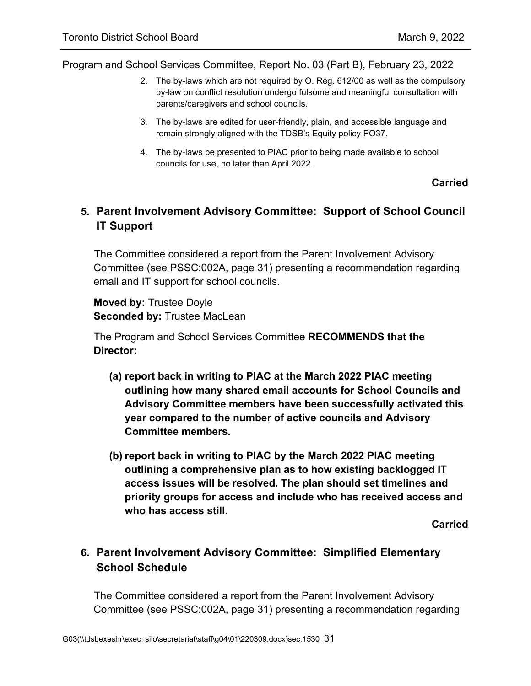- 2. The by-laws which are not required by O. Reg. 612/00 as well as the compulsory by-law on conflict resolution undergo fulsome and meaningful consultation with parents/caregivers and school councils.
- 3. The by-laws are edited for user-friendly, plain, and accessible language and remain strongly aligned with the TDSB's Equity policy PO37.
- 4. The by-laws be presented to PIAC prior to being made available to school councils for use, no later than April 2022.

#### **Carried**

# **5. Parent Involvement Advisory Committee: Support of School Council IT Support**

The Committee considered a report from the Parent Involvement Advisory Committee (see PSSC:002A, page 31) presenting a recommendation regarding email and IT support for school councils.

**Moved by:** Trustee Doyle **Seconded by:** Trustee MacLean

The Program and School Services Committee **RECOMMENDS that the Director:**

- **(a) report back in writing to PIAC at the March 2022 PIAC meeting outlining how many shared email accounts for School Councils and Advisory Committee members have been successfully activated this year compared to the number of active councils and Advisory Committee members.**
- **(b) report back in writing to PIAC by the March 2022 PIAC meeting outlining a comprehensive plan as to how existing backlogged IT access issues will be resolved. The plan should set timelines and priority groups for access and include who has received access and who has access still.**

**Carried**

# **6. Parent Involvement Advisory Committee: Simplified Elementary School Schedule**

The Committee considered a report from the Parent Involvement Advisory Committee (see PSSC:002A, page 31) presenting a recommendation regarding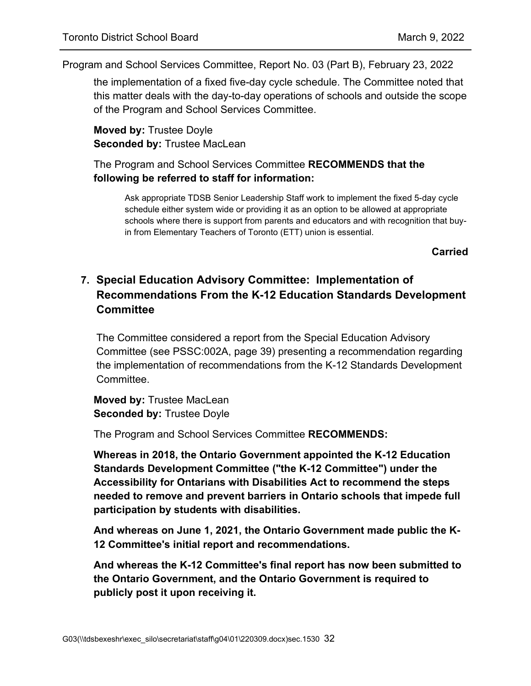the implementation of a fixed five-day cycle schedule. The Committee noted that this matter deals with the day-to-day operations of schools and outside the scope of the Program and School Services Committee.

**Moved by:** Trustee Doyle **Seconded by:** Trustee MacLean

The Program and School Services Committee **RECOMMENDS that the following be referred to staff for information:**

Ask appropriate TDSB Senior Leadership Staff work to implement the fixed 5-day cycle schedule either system wide or providing it as an option to be allowed at appropriate schools where there is support from parents and educators and with recognition that buyin from Elementary Teachers of Toronto (ETT) union is essential.

**Carried**

# **7. Special Education Advisory Committee: Implementation of Recommendations From the K-12 Education Standards Development Committee**

The Committee considered a report from the Special Education Advisory Committee (see PSSC:002A, page 39) presenting a recommendation regarding the implementation of recommendations from the K-12 Standards Development **Committee** 

**Moved by:** Trustee MacLean **Seconded by:** Trustee Doyle

The Program and School Services Committee **RECOMMENDS:**

**Whereas in 2018, the Ontario Government appointed the K-12 Education Standards Development Committee ("the K-12 Committee") under the Accessibility for Ontarians with Disabilities Act to recommend the steps needed to remove and prevent barriers in Ontario schools that impede full participation by students with disabilities.**

**And whereas on June 1, 2021, the Ontario Government made public the K-12 Committee's initial report and recommendations.**

**And whereas the K-12 Committee's final report has now been submitted to the Ontario Government, and the Ontario Government is required to publicly post it upon receiving it.**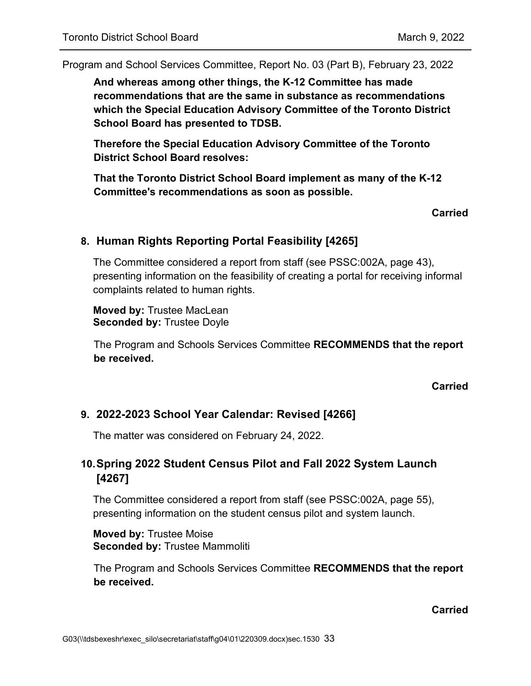**And whereas among other things, the K-12 Committee has made recommendations that are the same in substance as recommendations which the Special Education Advisory Committee of the Toronto District School Board has presented to TDSB.**

**Therefore the Special Education Advisory Committee of the Toronto District School Board resolves:**

**That the Toronto District School Board implement as many of the K-12 Committee's recommendations as soon as possible.**

#### **Carried**

### **8. Human Rights Reporting Portal Feasibility [4265]**

The Committee considered a report from staff (see PSSC:002A, page 43), presenting information on the feasibility of creating a portal for receiving informal complaints related to human rights.

**Moved by:** Trustee MacLean **Seconded by:** Trustee Doyle

The Program and Schools Services Committee **RECOMMENDS that the report be received.**

**Carried**

# **9. 2022-2023 School Year Calendar: Revised [4266]**

The matter was considered on February 24, 2022.

# **10.Spring 2022 Student Census Pilot and Fall 2022 System Launch [4267]**

The Committee considered a report from staff (see PSSC:002A, page 55), presenting information on the student census pilot and system launch.

**Moved by:** Trustee Moise **Seconded by:** Trustee Mammoliti

The Program and Schools Services Committee **RECOMMENDS that the report be received.**

**Carried**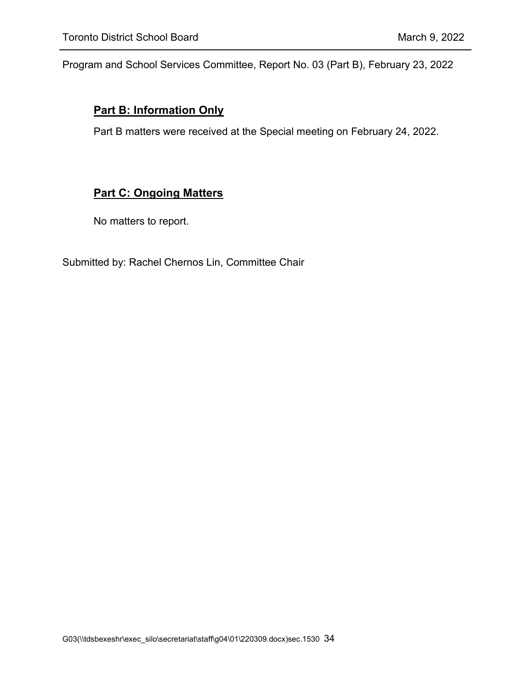### **Part B: Information Only**

Part B matters were received at the Special meeting on February 24, 2022.

# **Part C: Ongoing Matters**

No matters to report.

Submitted by: Rachel Chernos Lin, Committee Chair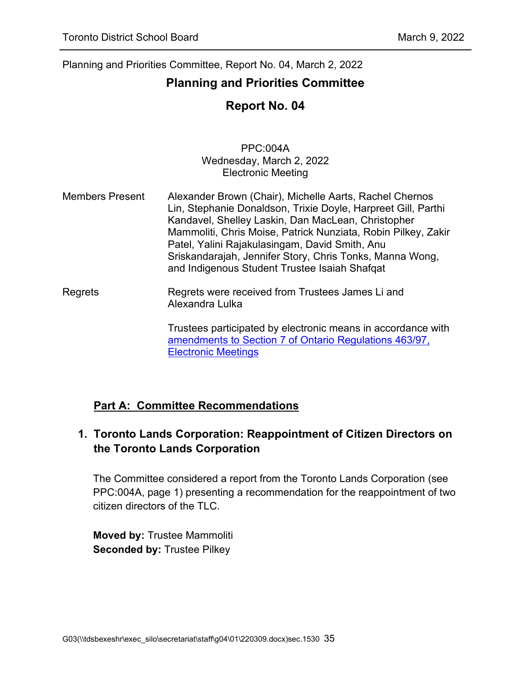# <span id="page-34-0"></span>**Planning and Priorities Committee**

# **Report No. 04**

PPC:004A Wednesday, March 2, 2022 Electronic Meeting

Members Present Alexander Brown (Chair), Michelle Aarts, Rachel Chernos Lin, Stephanie Donaldson, Trixie Doyle, Harpreet Gill, Parthi Kandavel, Shelley Laskin, Dan MacLean, Christopher Mammoliti, Chris Moise, Patrick Nunziata, Robin Pilkey, Zakir Patel, Yalini Rajakulasingam, David Smith, Anu Sriskandarajah, Jennifer Story, Chris Tonks, Manna Wong, and Indigenous Student Trustee Isaiah Shafqat

Regrets Regrets were received from Trustees James Li and Alexandra Lulka

> Trustees participated by electronic means in accordance with [amendments to Section 7 of Ontario Regulations 463/97,](https://www.ontario.ca/laws/regulation/970463)  [Electronic Meetings](https://www.ontario.ca/laws/regulation/970463)

# **Part A: Committee Recommendations**

# **1. Toronto Lands Corporation: Reappointment of Citizen Directors on the Toronto Lands Corporation**

The Committee considered a report from the Toronto Lands Corporation (see PPC:004A, page 1) presenting a recommendation for the reappointment of two citizen directors of the TLC.

**Moved by:** Trustee Mammoliti **Seconded by:** Trustee Pilkey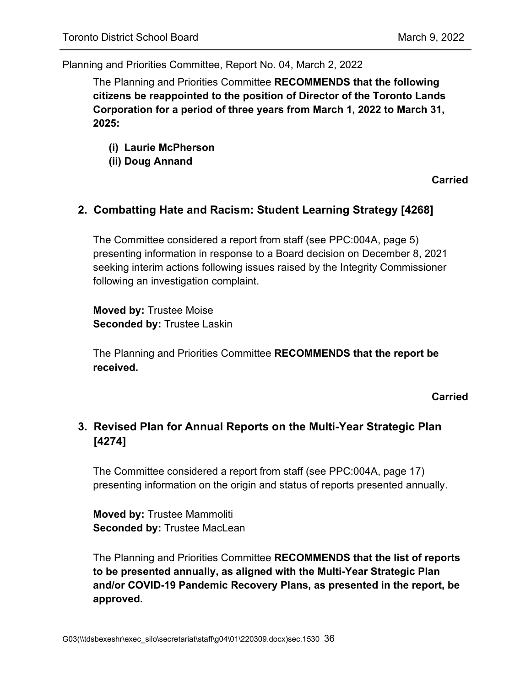The Planning and Priorities Committee **RECOMMENDS that the following citizens be reappointed to the position of Director of the Toronto Lands Corporation for a period of three years from March 1, 2022 to March 31, 2025:**

- **(i) Laurie McPherson**
- **(ii) Doug Annand**

**Carried**

### **2. Combatting Hate and Racism: Student Learning Strategy [4268]**

The Committee considered a report from staff (see PPC:004A, page 5) presenting information in response to a Board decision on December 8, 2021 seeking interim actions following issues raised by the Integrity Commissioner following an investigation complaint.

**Moved by:** Trustee Moise **Seconded by:** Trustee Laskin

The Planning and Priorities Committee **RECOMMENDS that the report be received.**

**Carried**

# **3. Revised Plan for Annual Reports on the Multi-Year Strategic Plan [4274]**

The Committee considered a report from staff (see PPC:004A, page 17) presenting information on the origin and status of reports presented annually.

**Moved by:** Trustee Mammoliti **Seconded by:** Trustee MacLean

The Planning and Priorities Committee **RECOMMENDS that the list of reports to be presented annually, as aligned with the Multi-Year Strategic Plan and/or COVID-19 Pandemic Recovery Plans, as presented in the report, be approved.**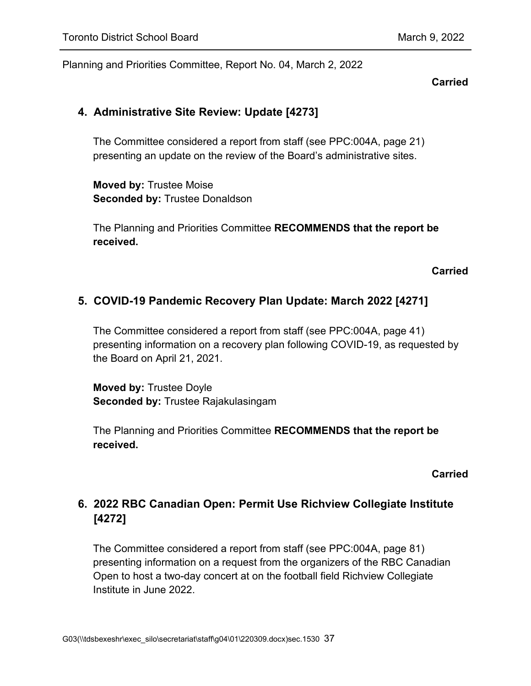#### **Carried**

### **4. Administrative Site Review: Update [4273]**

The Committee considered a report from staff (see PPC:004A, page 21) presenting an update on the review of the Board's administrative sites.

**Moved by:** Trustee Moise **Seconded by:** Trustee Donaldson

The Planning and Priorities Committee **RECOMMENDS that the report be received.**

### **Carried**

### **5. COVID-19 Pandemic Recovery Plan Update: March 2022 [4271]**

The Committee considered a report from staff (see PPC:004A, page 41) presenting information on a recovery plan following COVID-19, as requested by the Board on April 21, 2021.

**Moved by:** Trustee Doyle **Seconded by:** Trustee Rajakulasingam

The Planning and Priorities Committee **RECOMMENDS that the report be received.**

#### **Carried**

# **6. 2022 RBC Canadian Open: Permit Use Richview Collegiate Institute [4272]**

The Committee considered a report from staff (see PPC:004A, page 81) presenting information on a request from the organizers of the RBC Canadian Open to host a two-day concert at on the football field Richview Collegiate Institute in June 2022.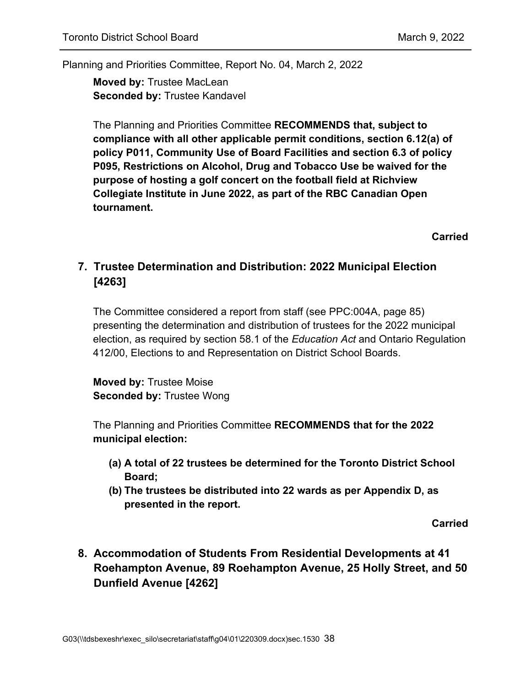**Moved by:** Trustee MacLean **Seconded by:** Trustee Kandavel

The Planning and Priorities Committee **RECOMMENDS that, subject to compliance with all other applicable permit conditions, section 6.12(a) of policy P011, Community Use of Board Facilities and section 6.3 of policy P095, Restrictions on Alcohol, Drug and Tobacco Use be waived for the purpose of hosting a golf concert on the football field at Richview Collegiate Institute in June 2022, as part of the RBC Canadian Open tournament.**

**Carried**

# **7. Trustee Determination and Distribution: 2022 Municipal Election [4263]**

The Committee considered a report from staff (see PPC:004A, page 85) presenting the determination and distribution of trustees for the 2022 municipal election, as required by section 58.1 of the *Education Act* and Ontario Regulation 412/00, Elections to and Representation on District School Boards.

**Moved by:** Trustee Moise **Seconded by:** Trustee Wong

The Planning and Priorities Committee **RECOMMENDS that for the 2022 municipal election:**

- **(a) A total of 22 trustees be determined for the Toronto District School Board;**
- **(b) The trustees be distributed into 22 wards as per Appendix D, as presented in the report.**

**Carried**

**8. Accommodation of Students From Residential Developments at 41 Roehampton Avenue, 89 Roehampton Avenue, 25 Holly Street, and 50 Dunfield Avenue [4262]**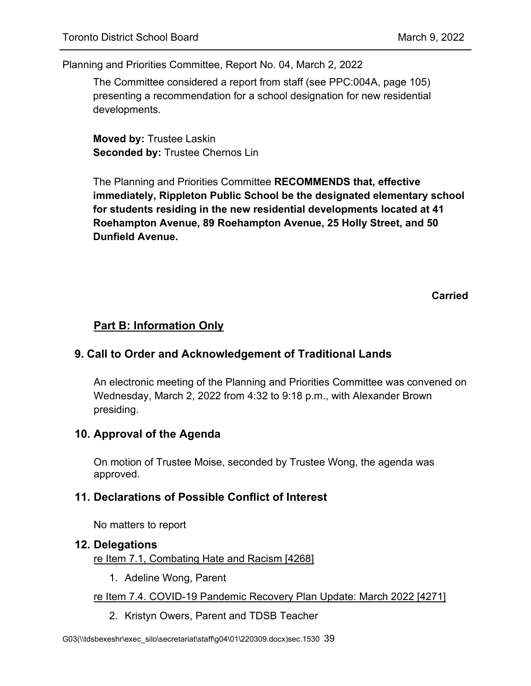The Committee considered a report from staff (see PPC:004A, page 105) presenting a recommendation for a school designation for new residential developments.

**Moved by:** Trustee Laskin **Seconded by:** Trustee Chernos Lin

The Planning and Priorities Committee **RECOMMENDS that, effective immediately, Rippleton Public School be the designated elementary school for students residing in the new residential developments located at 41 Roehampton Avenue, 89 Roehampton Avenue, 25 Holly Street, and 50 Dunfield Avenue.**

**Carried**

# **Part B: Information Only**

### **9. Call to Order and Acknowledgement of Traditional Lands**

An electronic meeting of the Planning and Priorities Committee was convened on Wednesday, March 2, 2022 from 4:32 to 9:18 p.m., with Alexander Brown presiding.

### **10. Approval of the Agenda**

On motion of Trustee Moise, seconded by Trustee Wong, the agenda was approved.

# **11. Declarations of Possible Conflict of Interest**

No matters to report

#### **12. Delegations**

re Item 7.1, Combating Hate and Racism [4268]

1. Adeline Wong, Parent

#### re Item 7.4. COVID-19 Pandemic Recovery Plan Update: March 2022 [4271]

2. Kristyn Owers, Parent and TDSB Teacher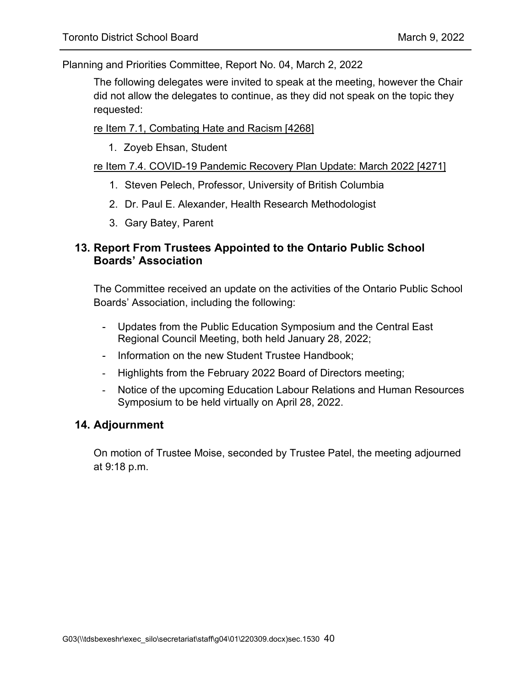The following delegates were invited to speak at the meeting, however the Chair did not allow the delegates to continue, as they did not speak on the topic they requested:

re Item 7.1, Combating Hate and Racism [4268]

1. Zoyeb Ehsan, Student

#### re Item 7.4. COVID-19 Pandemic Recovery Plan Update: March 2022 [4271]

- 1. Steven Pelech, Professor, University of British Columbia
- 2. Dr. Paul E. Alexander, Health Research Methodologist
- 3. Gary Batey, Parent

### **13. Report From Trustees Appointed to the Ontario Public School Boards' Association**

The Committee received an update on the activities of the Ontario Public School Boards' Association, including the following:

- Updates from the Public Education Symposium and the Central East Regional Council Meeting, both held January 28, 2022;
- Information on the new Student Trustee Handbook;
- Highlights from the February 2022 Board of Directors meeting;
- Notice of the upcoming Education Labour Relations and Human Resources Symposium to be held virtually on April 28, 2022.

### **14. Adjournment**

On motion of Trustee Moise, seconded by Trustee Patel, the meeting adjourned at 9:18 p.m.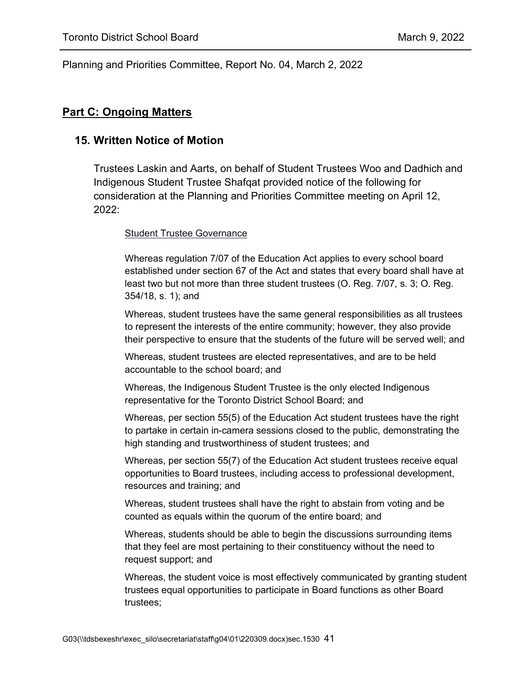#### **Part C: Ongoing Matters**

#### **15. Written Notice of Motion**

Trustees Laskin and Aarts, on behalf of Student Trustees Woo and Dadhich and Indigenous Student Trustee Shafqat provided notice of the following for consideration at the Planning and Priorities Committee meeting on April 12, 2022:

#### **Student Trustee Governance**

Whereas regulation 7/07 of the Education Act applies to every school board established under section 67 of the Act and states that every board shall have at least two but not more than three student trustees (O. Reg. 7/07, s. 3; O. Reg. 354/18, s. 1); and

Whereas, student trustees have the same general responsibilities as all trustees to represent the interests of the entire community; however, they also provide their perspective to ensure that the students of the future will be served well; and

Whereas, student trustees are elected representatives, and are to be held accountable to the school board; and

Whereas, the Indigenous Student Trustee is the only elected Indigenous representative for the Toronto District School Board; and

Whereas, per section 55(5) of the Education Act student trustees have the right to partake in certain in-camera sessions closed to the public, demonstrating the high standing and trustworthiness of student trustees; and

Whereas, per section 55(7) of the Education Act student trustees receive equal opportunities to Board trustees, including access to professional development, resources and training; and

Whereas, student trustees shall have the right to abstain from voting and be counted as equals within the quorum of the entire board; and

Whereas, students should be able to begin the discussions surrounding items that they feel are most pertaining to their constituency without the need to request support; and

Whereas, the student voice is most effectively communicated by granting student trustees equal opportunities to participate in Board functions as other Board trustees;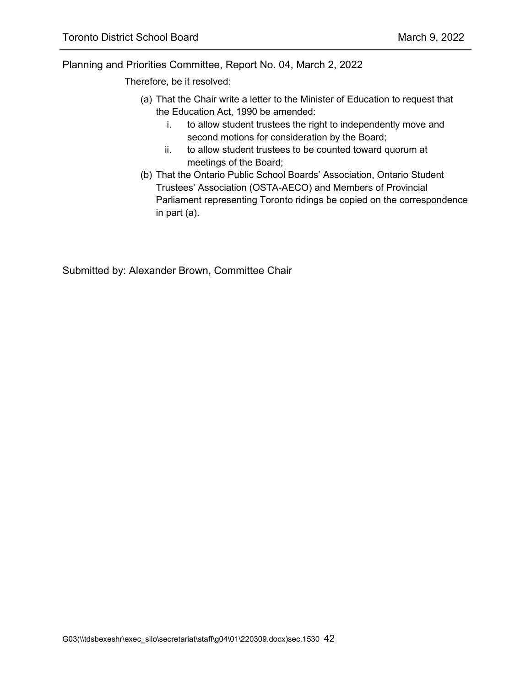Therefore, be it resolved:

- (a) That the Chair write a letter to the Minister of Education to request that the Education Act, 1990 be amended:
	- i. to allow student trustees the right to independently move and second motions for consideration by the Board;
	- ii. to allow student trustees to be counted toward quorum at meetings of the Board;
- (b) That the Ontario Public School Boards' Association, Ontario Student Trustees' Association (OSTA-AECO) and Members of Provincial Parliament representing Toronto ridings be copied on the correspondence in part (a).

Submitted by: Alexander Brown, Committee Chair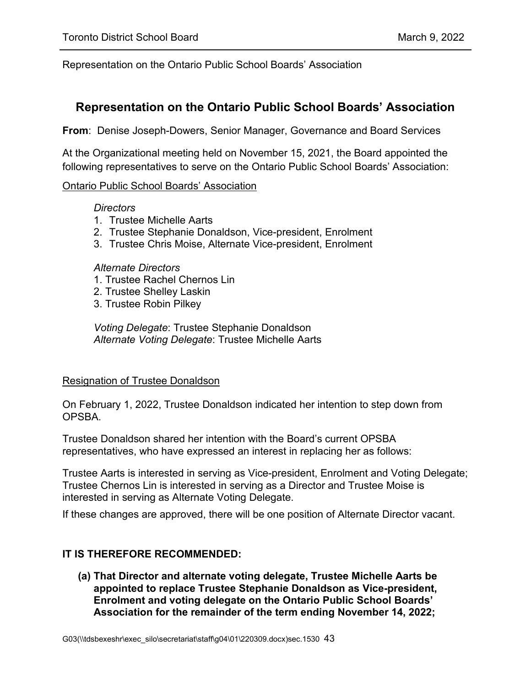Representation on the Ontario Public School Boards' Association

### <span id="page-42-0"></span>**Representation on the Ontario Public School Boards' Association**

**From**: Denise Joseph-Dowers, Senior Manager, Governance and Board Services

At the Organizational meeting held on November 15, 2021, the Board appointed the following representatives to serve on the Ontario Public School Boards' Association:

#### Ontario Public School Boards' Association

#### *Directors*

- 1. Trustee Michelle Aarts
- 2. Trustee Stephanie Donaldson, Vice-president, Enrolment
- 3. Trustee Chris Moise, Alternate Vice-president, Enrolment

#### *Alternate Directors*

- 1. Trustee Rachel Chernos Lin
- 2. Trustee Shelley Laskin
- 3. Trustee Robin Pilkey

*Voting Delegate*: Trustee Stephanie Donaldson *Alternate Voting Delegate*: Trustee Michelle Aarts

#### Resignation of Trustee Donaldson

On February 1, 2022, Trustee Donaldson indicated her intention to step down from OPSBA.

Trustee Donaldson shared her intention with the Board's current OPSBA representatives, who have expressed an interest in replacing her as follows:

Trustee Aarts is interested in serving as Vice-president, Enrolment and Voting Delegate; Trustee Chernos Lin is interested in serving as a Director and Trustee Moise is interested in serving as Alternate Voting Delegate.

If these changes are approved, there will be one position of Alternate Director vacant.

#### **IT IS THEREFORE RECOMMENDED:**

**(a) That Director and alternate voting delegate, Trustee Michelle Aarts be appointed to replace Trustee Stephanie Donaldson as Vice-president, Enrolment and voting delegate on the Ontario Public School Boards' Association for the remainder of the term ending November 14, 2022;**